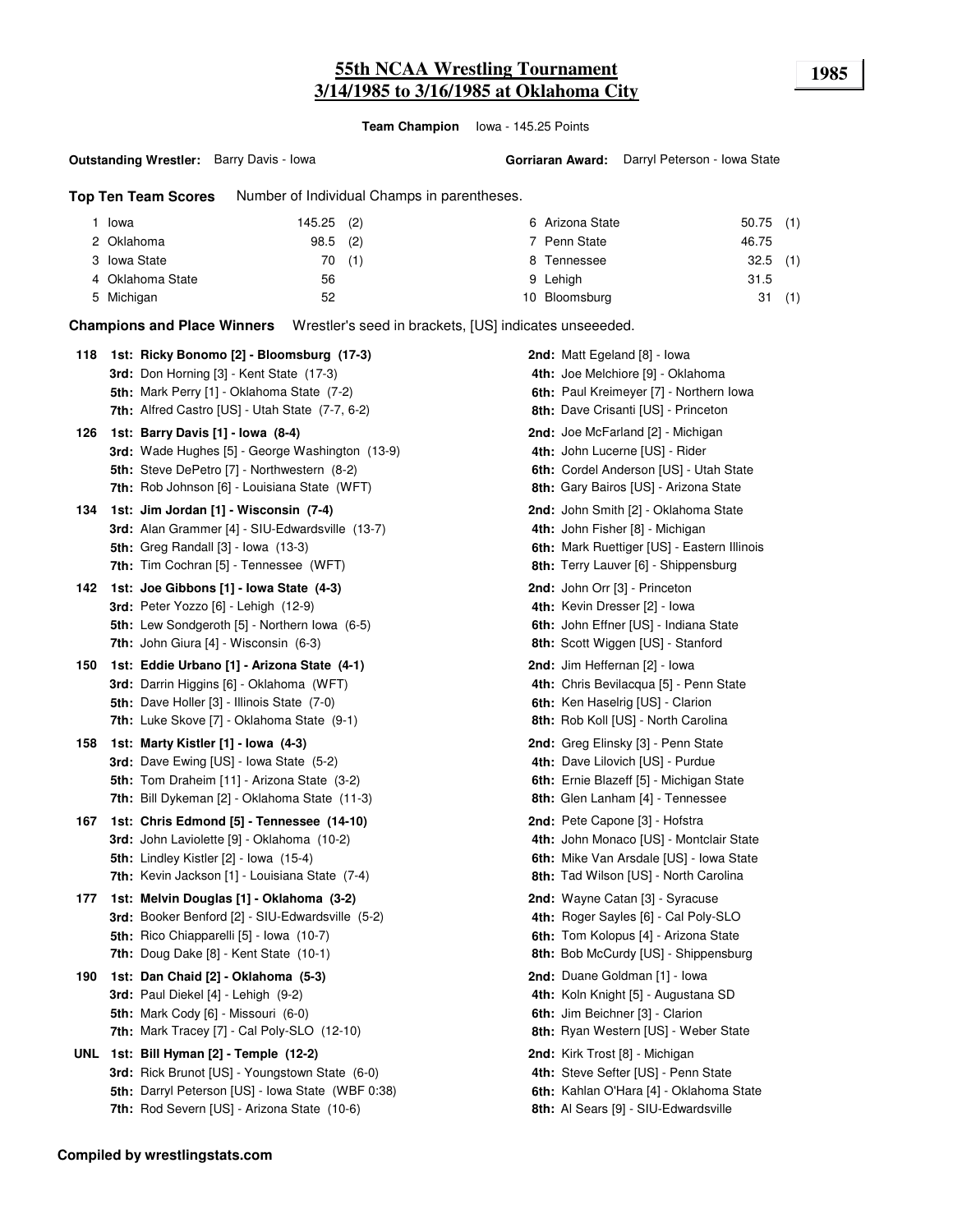# **55th NCAA Wrestling Tournament 1985 3/14/1985 to 3/16/1985 at Oklahoma City**

**Team Champion** Iowa - 145.25 Points

**Gorriaran Award:** Darryl Peterson - Iowa State

**Top Ten Team Scores** Number of Individual Champs in parentheses.

| Iowa             | 145.25 (2) |  | 6 Arizona State | $50.75$ (1) |     |
|------------------|------------|--|-----------------|-------------|-----|
| 2 Oklahoma       | $98.5$ (2) |  | 7 Penn State    | 46.75       |     |
| 3 Iowa State     | 70(1)      |  | 8 Tennessee     | $32.5$ (1)  |     |
| 4 Oklahoma State | 56         |  | 9 Lehigh        | 31.5        |     |
| 5 Michigan       | 52         |  | 10 Bloomsburg   | 31          | (1) |

**Champions and Place Winners** Wrestler's seed in brackets, [US] indicates unseeeded.

| 118 | 1st: Ricky Bonomo [2] - Bloomsburg (17-3)<br><b>3rd:</b> Don Horning [3] - Kent State (17-3)<br>5th: Mark Perry [1] - Oklahoma State (7-2)<br>7th: Alfred Castro [US] - Utah State (7-7, 6-2)        | 2nd: Matt Egeland [8] - Iowa<br>4th: Joe Melchiore [9] - Oklahoma<br>6th: Paul Kreimeyer [7] - Northern Iowa<br>8th: Dave Crisanti [US] - Princeton             |
|-----|------------------------------------------------------------------------------------------------------------------------------------------------------------------------------------------------------|-----------------------------------------------------------------------------------------------------------------------------------------------------------------|
| 126 | 1st: Barry Davis [1] - Iowa (8-4)<br><b>3rd:</b> Wade Hughes [5] - George Washington (13-9)<br>5th: Steve DePetro [7] - Northwestern (8-2)<br><b>7th:</b> Rob Johnson [6] - Louisiana State (WFT)    | <b>2nd:</b> Joe McFarland [2] - Michigan<br>4th: John Lucerne [US] - Rider<br>6th: Cordel Anderson [US] - Utah State<br>8th: Gary Bairos [US] - Arizona State   |
| 134 | 1st: Jim Jordan [1] - Wisconsin (7-4)<br>3rd: Alan Grammer [4] - SIU-Edwardsville (13-7)<br><b>5th:</b> Greg Randall [3] - Iowa (13-3)<br>7th: Tim Cochran [5] - Tennessee (WFT)                     | 2nd: John Smith [2] - Oklahoma State<br>4th: John Fisher [8] - Michigan<br>6th: Mark Ruettiger [US] - Eastern Illinois<br>8th: Terry Lauver [6] - Shippensburg  |
| 142 | 1st: Joe Gibbons [1] - Iowa State (4-3)<br><b>3rd:</b> Peter Yozzo [6] - Lehigh (12-9)<br>5th: Lew Sondgeroth [5] - Northern Iowa (6-5)<br>7th: John Giura [4] - Wisconsin (6-3)                     | <b>2nd:</b> John Orr [3] - Princeton<br>4th: Kevin Dresser [2] - Iowa<br>6th: John Effner [US] - Indiana State<br>8th: Scott Wiggen [US] - Stanford             |
| 150 | 1st: Eddie Urbano [1] - Arizona State (4-1)<br>3rd: Darrin Higgins [6] - Oklahoma (WFT)<br><b>5th:</b> Dave Holler [3] - Illinois State (7-0)<br>7th: Luke Skove [7] - Oklahoma State (9-1)          | 2nd: Jim Heffernan [2] - Iowa<br>4th: Chris Bevilacqua [5] - Penn State<br>6th: Ken Haselrig [US] - Clarion<br>8th: Rob Koll [US] - North Carolina              |
| 158 | 1st: Marty Kistler [1] - Iowa (4-3)<br><b>3rd:</b> Dave Ewing [US] - Iowa State (5-2)<br>5th: Tom Draheim [11] - Arizona State (3-2)<br>7th: Bill Dykeman [2] - Oklahoma State (11-3)                | 2nd: Greg Elinsky [3] - Penn State<br>4th: Dave Lilovich [US] - Purdue<br>6th: Ernie Blazeff [5] - Michigan State<br>8th: Glen Lanham [4] - Tennessee           |
| 167 | 1st: Chris Edmond [5] - Tennessee (14-10)<br>3rd: John Laviolette [9] - Oklahoma (10-2)<br>5th: Lindley Kistler [2] - Iowa (15-4)<br>7th: Kevin Jackson [1] - Louisiana State (7-4)                  | 2nd: Pete Capone [3] - Hofstra<br>4th: John Monaco [US] - Montclair State<br>6th: Mike Van Arsdale [US] - Iowa State<br>8th: Tad Wilson [US] - North Carolina   |
| 177 | 1st: Melvin Douglas [1] - Oklahoma (3-2)<br>3rd: Booker Benford [2] - SIU-Edwardsville (5-2)<br>5th: Rico Chiapparelli [5] - Iowa (10-7)<br>7th: Doug Dake [8] - Kent State (10-1)                   | 2nd: Wayne Catan [3] - Syracuse<br>4th: Roger Sayles [6] - Cal Poly-SLO<br>6th: Tom Kolopus [4] - Arizona State<br>8th: Bob McCurdy [US] - Shippensburg         |
| 190 | 1st: Dan Chaid [2] - Oklahoma (5-3)<br>3rd: Paul Diekel [4] - Lehigh (9-2)<br>5th: Mark Cody [6] - Missouri (6-0)<br>7th: Mark Tracey $[7]$ - Cal Poly-SLO $(12-10)$                                 | 2nd: Duane Goldman [1] - lowa<br>4th: Koln Knight [5] - Augustana SD<br>6th: Jim Beichner [3] - Clarion<br>8th: Ryan Western [US] - Weber State                 |
|     | UNL 1st: Bill Hyman [2] - Temple (12-2)<br>3rd: Rick Brunot [US] - Youngstown State (6-0)<br>5th: Darryl Peterson [US] - Iowa State (WBF 0:38)<br><b>7th:</b> Rod Severn [US] - Arizona State (10-6) | <b>2nd:</b> Kirk Trost [8] - Michigan<br>4th: Steve Sefter [US] - Penn State<br>6th: Kahlan O'Hara [4] - Oklahoma State<br>8th: Al Sears [9] - SIU-Edwardsville |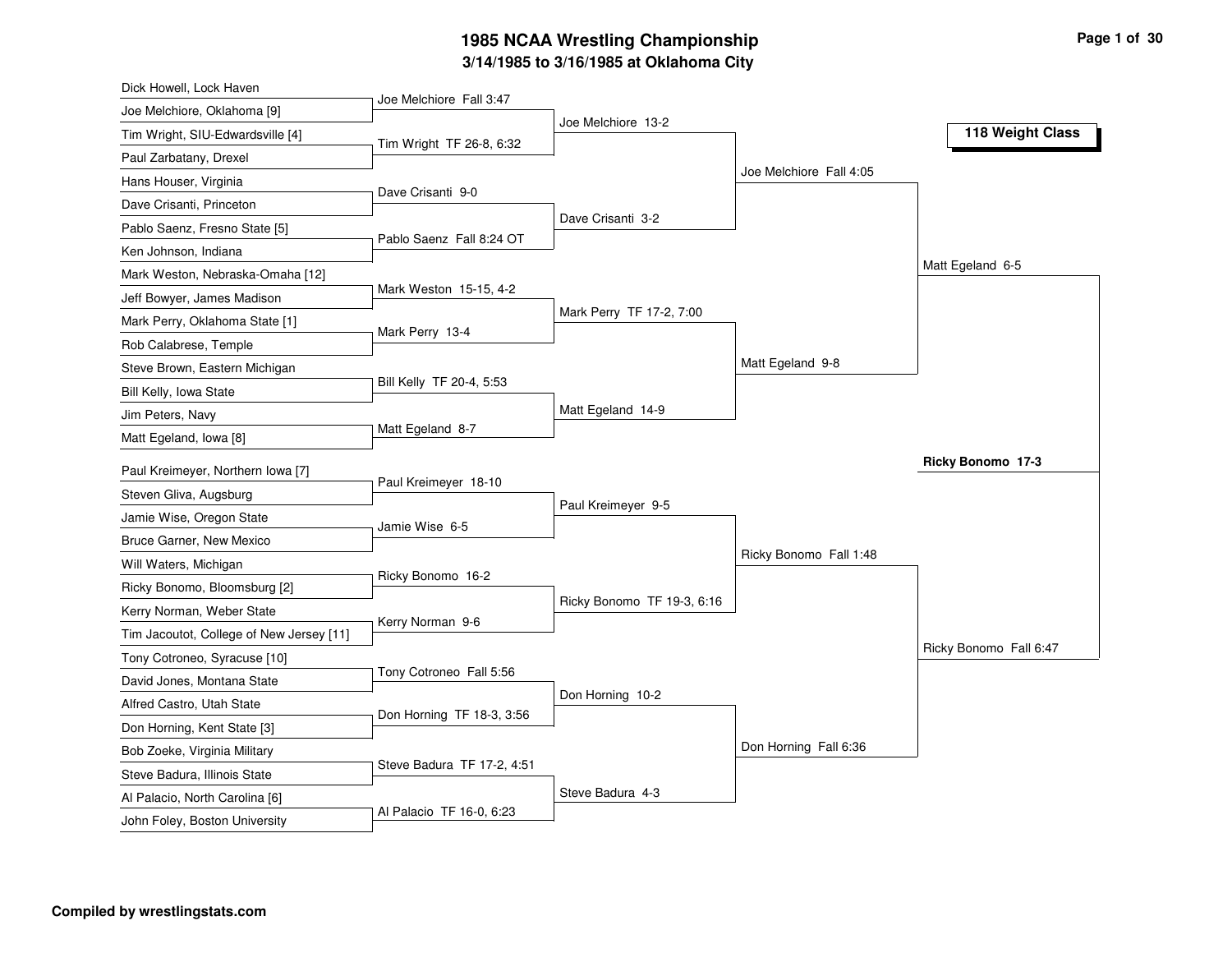# **3/14/1985 to 3/16/1985 at Oklahoma City 1985 NCAA Wrestling Championship Page <sup>1</sup> of <sup>30</sup>**

| Dick Howell, Lock Haven                                        |                            |                            |                         |                        |
|----------------------------------------------------------------|----------------------------|----------------------------|-------------------------|------------------------|
| Joe Melchiore, Oklahoma [9]                                    | Joe Melchiore Fall 3:47    |                            |                         |                        |
| Tim Wright, SIU-Edwardsville [4]                               |                            | Joe Melchiore 13-2         |                         | 118 Weight Class       |
| Paul Zarbatany, Drexel                                         | Tim Wright TF 26-8, 6:32   |                            |                         |                        |
| Hans Houser, Virginia                                          |                            |                            | Joe Melchiore Fall 4:05 |                        |
| Dave Crisanti, Princeton                                       | Dave Crisanti 9-0          |                            |                         |                        |
| Pablo Saenz, Fresno State [5]                                  |                            | Dave Crisanti 3-2          |                         |                        |
| Ken Johnson, Indiana                                           | Pablo Saenz Fall 8:24 OT   |                            |                         |                        |
| Mark Weston, Nebraska-Omaha [12]                               |                            |                            |                         | Matt Egeland 6-5       |
| Jeff Bowyer, James Madison                                     | Mark Weston 15-15, 4-2     |                            |                         |                        |
| Mark Perry, Oklahoma State [1]                                 |                            | Mark Perry TF 17-2, 7:00   |                         |                        |
| Rob Calabrese, Temple                                          | Mark Perry 13-4            |                            |                         |                        |
| Steve Brown, Eastern Michigan                                  |                            |                            | Matt Egeland 9-8        |                        |
| Bill Kelly, Iowa State                                         | Bill Kelly TF 20-4, 5:53   |                            |                         |                        |
| Jim Peters, Navy                                               |                            | Matt Egeland 14-9          |                         |                        |
| Matt Egeland, Iowa [8]                                         | Matt Egeland 8-7           |                            |                         |                        |
| Paul Kreimeyer, Northern Iowa [7]                              |                            |                            |                         | Ricky Bonomo 17-3      |
| Steven Gliva, Augsburg                                         | Paul Kreimeyer 18-10       |                            |                         |                        |
| Jamie Wise, Oregon State                                       |                            | Paul Kreimeyer 9-5         |                         |                        |
| Bruce Garner, New Mexico                                       | Jamie Wise 6-5             |                            |                         |                        |
| Will Waters, Michigan                                          |                            |                            | Ricky Bonomo Fall 1:48  |                        |
| Ricky Bonomo, Bloomsburg [2]                                   | Ricky Bonomo 16-2          |                            |                         |                        |
| Kerry Norman, Weber State                                      |                            | Ricky Bonomo TF 19-3, 6:16 |                         |                        |
| Tim Jacoutot, College of New Jersey [11]                       | Kerry Norman 9-6           |                            |                         |                        |
| Tony Cotroneo, Syracuse [10]                                   |                            |                            |                         | Ricky Bonomo Fall 6:47 |
| David Jones, Montana State                                     | Tony Cotroneo Fall 5:56    |                            |                         |                        |
| Alfred Castro, Utah State                                      |                            | Don Horning 10-2           |                         |                        |
|                                                                | Don Horning TF 18-3, 3:56  |                            |                         |                        |
| Don Horning, Kent State [3]<br>Bob Zoeke, Virginia Military    |                            |                            | Don Horning Fall 6:36   |                        |
|                                                                |                            |                            |                         |                        |
|                                                                | Steve Badura TF 17-2, 4:51 |                            |                         |                        |
| Steve Badura, Illinois State<br>Al Palacio, North Carolina [6] |                            | Steve Badura 4-3           |                         |                        |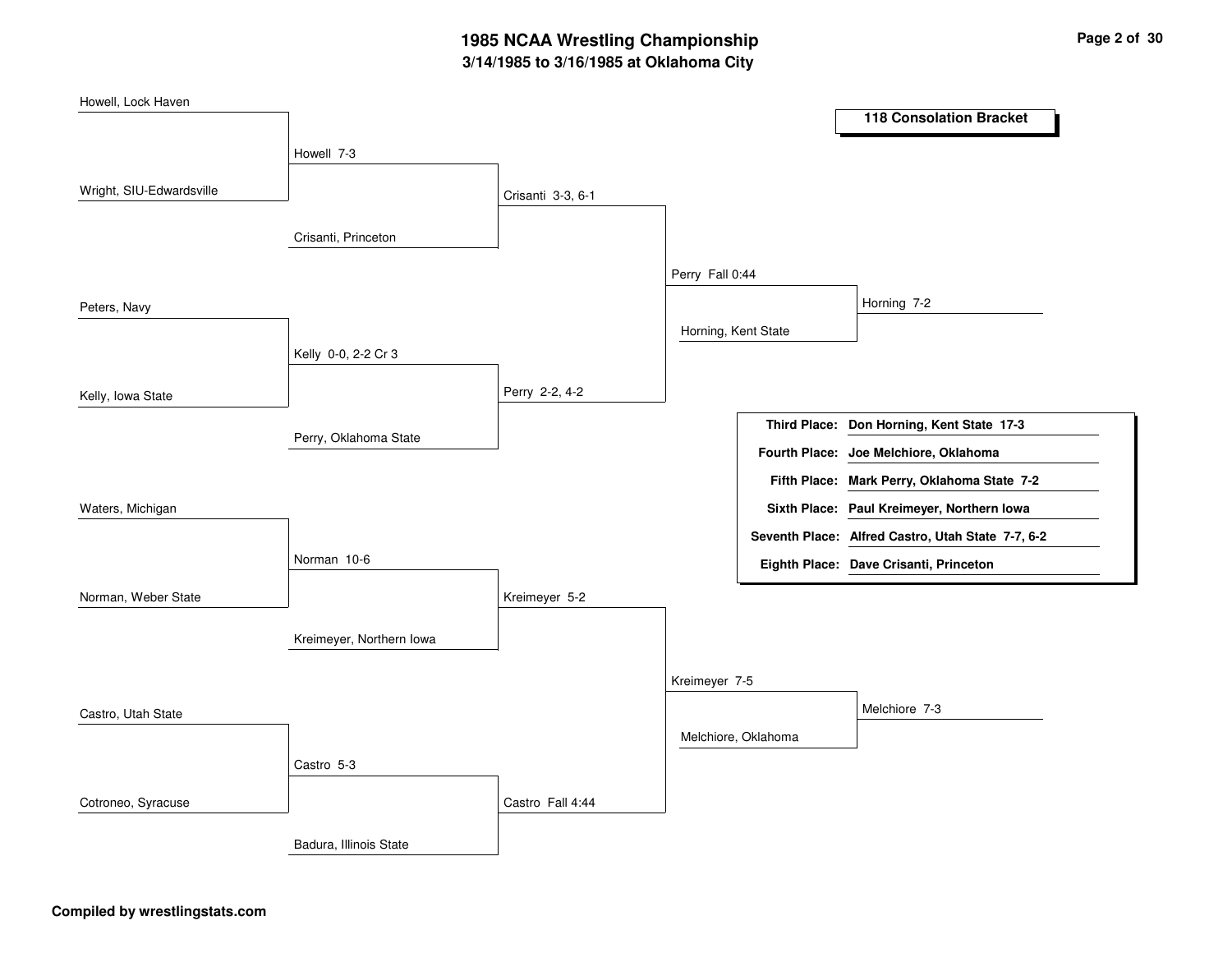# **3/14/1985 to 3/16/1985 at Oklahoma City 1985 NCAA Wrestling Championship Page <sup>2</sup> of <sup>30</sup>**

| Howell, Lock Haven       |                          |                   |                     |                     |                                                   |
|--------------------------|--------------------------|-------------------|---------------------|---------------------|---------------------------------------------------|
|                          |                          |                   |                     |                     | <b>118 Consolation Bracket</b>                    |
|                          | Howell 7-3               |                   |                     |                     |                                                   |
| Wright, SIU-Edwardsville |                          | Crisanti 3-3, 6-1 |                     |                     |                                                   |
|                          | Crisanti, Princeton      |                   |                     |                     |                                                   |
|                          |                          |                   | Perry Fall 0:44     |                     |                                                   |
| Peters, Navy             |                          |                   |                     |                     | Horning 7-2                                       |
|                          |                          |                   | Horning, Kent State |                     |                                                   |
|                          | Kelly 0-0, 2-2 Cr 3      |                   |                     |                     |                                                   |
| Kelly, Iowa State        |                          | Perry 2-2, 4-2    |                     |                     |                                                   |
|                          |                          |                   |                     |                     | Third Place: Don Horning, Kent State 17-3         |
|                          | Perry, Oklahoma State    |                   |                     |                     | Fourth Place: Joe Melchiore, Oklahoma             |
|                          |                          |                   |                     |                     | Fifth Place: Mark Perry, Oklahoma State 7-2       |
| Waters, Michigan         |                          |                   |                     |                     | Sixth Place: Paul Kreimeyer, Northern Iowa        |
|                          |                          |                   |                     |                     | Seventh Place: Alfred Castro, Utah State 7-7, 6-2 |
|                          | Norman 10-6              |                   |                     |                     | Eighth Place: Dave Crisanti, Princeton            |
| Norman, Weber State      |                          | Kreimeyer 5-2     |                     |                     |                                                   |
|                          | Kreimeyer, Northern Iowa |                   |                     |                     |                                                   |
|                          |                          |                   |                     |                     |                                                   |
|                          |                          |                   | Kreimeyer 7-5       |                     |                                                   |
| Castro, Utah State       |                          |                   |                     |                     | Melchiore 7-3                                     |
|                          |                          |                   |                     | Melchiore, Oklahoma |                                                   |
|                          | Castro 5-3               |                   |                     |                     |                                                   |
| Cotroneo, Syracuse       |                          | Castro Fall 4:44  |                     |                     |                                                   |
|                          |                          |                   |                     |                     |                                                   |
|                          | Badura, Illinois State   |                   |                     |                     |                                                   |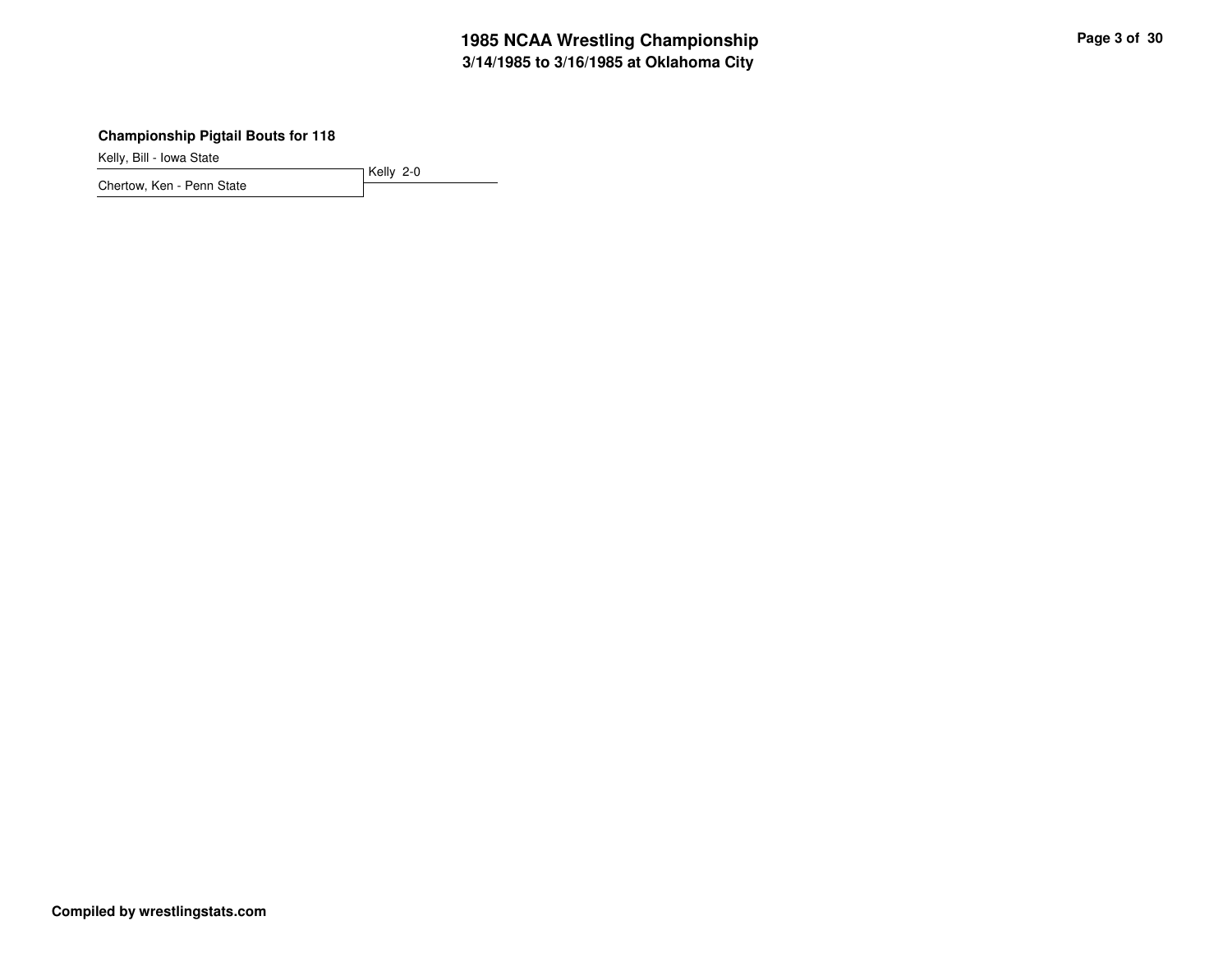# **3/14/1985 to 3/16/1985 at Oklahoma City 1985 NCAA Wrestling Championship Page <sup>3</sup> of <sup>30</sup>**

## **Championship Pigtail Bouts for 118**

Kelly, Bill - Iowa State

Kelly 2-0 Chertow, Ken - Penn State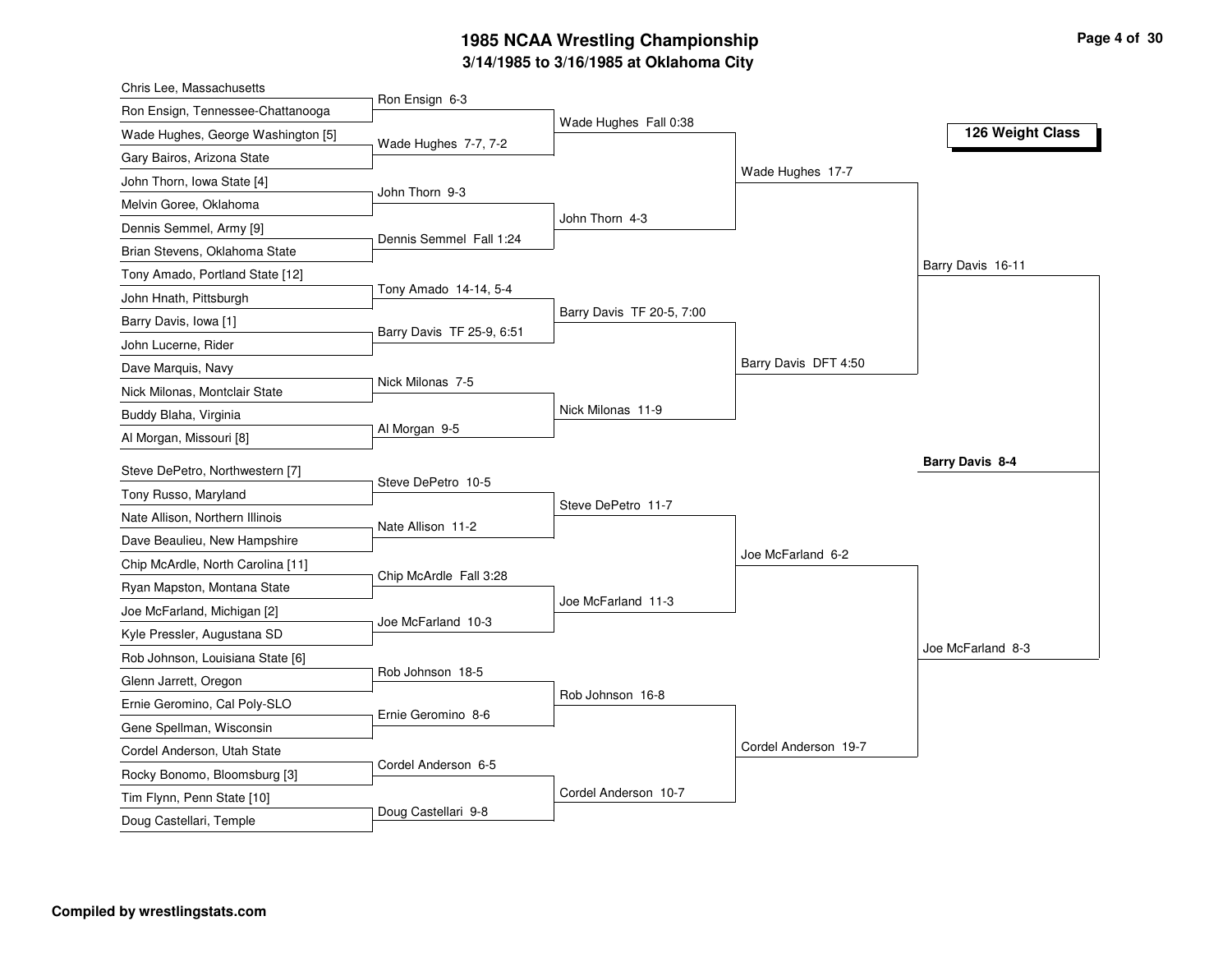# **3/14/1985 to 3/16/1985 at Oklahoma City 1985 NCAA Wrestling Championship Page <sup>4</sup> of <sup>30</sup>**

| Chris Lee, Massachusetts                                |                           |                           |                      |                   |
|---------------------------------------------------------|---------------------------|---------------------------|----------------------|-------------------|
| Ron Ensign, Tennessee-Chattanooga                       | Ron Ensign 6-3            |                           |                      |                   |
| Wade Hughes, George Washington [5]                      | Wade Hughes 7-7, 7-2      | Wade Hughes Fall 0:38     |                      | 126 Weight Class  |
| Gary Bairos, Arizona State                              |                           |                           |                      |                   |
| John Thorn, Iowa State [4]                              |                           |                           | Wade Hughes 17-7     |                   |
| Melvin Goree, Oklahoma                                  | John Thorn 9-3            |                           |                      |                   |
| Dennis Semmel, Army [9]                                 |                           | John Thorn 4-3            |                      |                   |
| Brian Stevens, Oklahoma State                           | Dennis Semmel Fall 1:24   |                           |                      |                   |
| Tony Amado, Portland State [12]                         |                           |                           |                      | Barry Davis 16-11 |
| John Hnath, Pittsburgh                                  | Tony Amado 14-14, 5-4     |                           |                      |                   |
| Barry Davis, Iowa [1]                                   |                           | Barry Davis TF 20-5, 7:00 |                      |                   |
| John Lucerne, Rider                                     | Barry Davis TF 25-9, 6:51 |                           |                      |                   |
| Dave Marquis, Navy                                      |                           |                           | Barry Davis DFT 4:50 |                   |
| Nick Milonas, Montclair State                           | Nick Milonas 7-5          |                           |                      |                   |
| Buddy Blaha, Virginia                                   |                           | Nick Milonas 11-9         |                      |                   |
| Al Morgan, Missouri [8]                                 | Al Morgan 9-5             |                           |                      |                   |
|                                                         |                           |                           |                      | Barry Davis 8-4   |
| Steve DePetro, Northwestern [7]<br>Tony Russo, Maryland | Steve DePetro 10-5        |                           |                      |                   |
| Nate Allison, Northern Illinois                         |                           | Steve DePetro 11-7        |                      |                   |
|                                                         | Nate Allison 11-2         |                           |                      |                   |
| Dave Beaulieu, New Hampshire                            |                           |                           | Joe McFarland 6-2    |                   |
| Chip McArdle, North Carolina [11]                       | Chip McArdle Fall 3:28    |                           |                      |                   |
| Ryan Mapston, Montana State                             |                           | Joe McFarland 11-3        |                      |                   |
| Joe McFarland, Michigan [2]                             | Joe McFarland 10-3        |                           |                      |                   |
| Kyle Pressler, Augustana SD                             |                           |                           |                      | Joe McFarland 8-3 |
| Rob Johnson, Louisiana State [6]                        | Rob Johnson 18-5          |                           |                      |                   |
| Glenn Jarrett, Oregon                                   |                           | Rob Johnson 16-8          |                      |                   |
| Ernie Geromino, Cal Poly-SLO                            | Ernie Geromino 8-6        |                           |                      |                   |
| Gene Spellman, Wisconsin                                |                           |                           | Cordel Anderson 19-7 |                   |
| Cordel Anderson, Utah State                             | Cordel Anderson 6-5       |                           |                      |                   |
| Rocky Bonomo, Bloomsburg [3]                            |                           |                           |                      |                   |
|                                                         |                           |                           |                      |                   |
| Tim Flynn, Penn State [10]<br>Doug Castellari, Temple   | Doug Castellari 9-8       | Cordel Anderson 10-7      |                      |                   |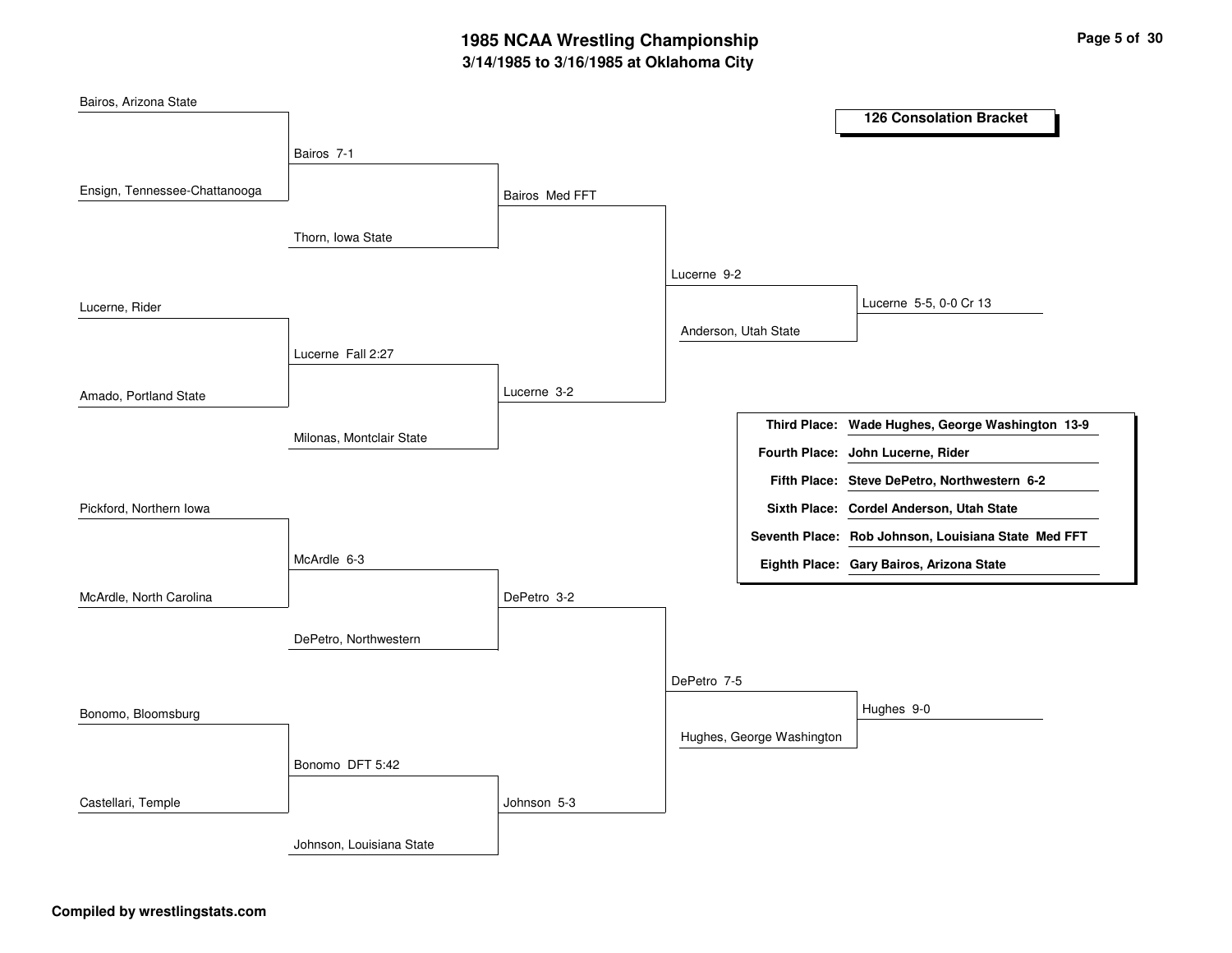# **3/14/1985 to 3/16/1985 at Oklahoma City 1985 NCAA Wrestling Championship Page <sup>5</sup> of <sup>30</sup>**

| Bairos, Arizona State         |                          |                |                      |                           |                                                     |
|-------------------------------|--------------------------|----------------|----------------------|---------------------------|-----------------------------------------------------|
|                               |                          |                |                      |                           | <b>126 Consolation Bracket</b>                      |
|                               | Bairos 7-1               |                |                      |                           |                                                     |
|                               |                          |                |                      |                           |                                                     |
| Ensign, Tennessee-Chattanooga |                          | Bairos Med FFT |                      |                           |                                                     |
|                               |                          |                |                      |                           |                                                     |
|                               | Thorn, Iowa State        |                |                      |                           |                                                     |
|                               |                          |                | Lucerne 9-2          |                           |                                                     |
| Lucerne, Rider                |                          |                |                      |                           | Lucerne 5-5, 0-0 Cr 13                              |
|                               |                          |                | Anderson, Utah State |                           |                                                     |
|                               | Lucerne Fall 2:27        |                |                      |                           |                                                     |
|                               |                          |                |                      |                           |                                                     |
| Amado, Portland State         |                          | Lucerne 3-2    |                      |                           |                                                     |
|                               |                          |                |                      |                           | Third Place: Wade Hughes, George Washington 13-9    |
|                               | Milonas, Montclair State |                |                      |                           | Fourth Place: John Lucerne, Rider                   |
|                               |                          |                |                      |                           | Fifth Place: Steve DePetro, Northwestern 6-2        |
| Pickford, Northern Iowa       |                          |                |                      |                           | Sixth Place: Cordel Anderson, Utah State            |
|                               |                          |                |                      |                           | Seventh Place: Rob Johnson, Louisiana State Med FFT |
|                               | McArdle 6-3              |                |                      |                           | Eighth Place: Gary Bairos, Arizona State            |
| McArdle, North Carolina       |                          | DePetro 3-2    |                      |                           |                                                     |
|                               |                          |                |                      |                           |                                                     |
|                               | DePetro, Northwestern    |                |                      |                           |                                                     |
|                               |                          |                |                      |                           |                                                     |
|                               |                          |                | DePetro 7-5          |                           |                                                     |
| Bonomo, Bloomsburg            |                          |                |                      |                           | Hughes 9-0                                          |
|                               |                          |                |                      | Hughes, George Washington |                                                     |
|                               | Bonomo DFT 5:42          |                |                      |                           |                                                     |
|                               |                          |                |                      |                           |                                                     |
| Castellari, Temple            |                          | Johnson 5-3    |                      |                           |                                                     |
|                               | Johnson, Louisiana State |                |                      |                           |                                                     |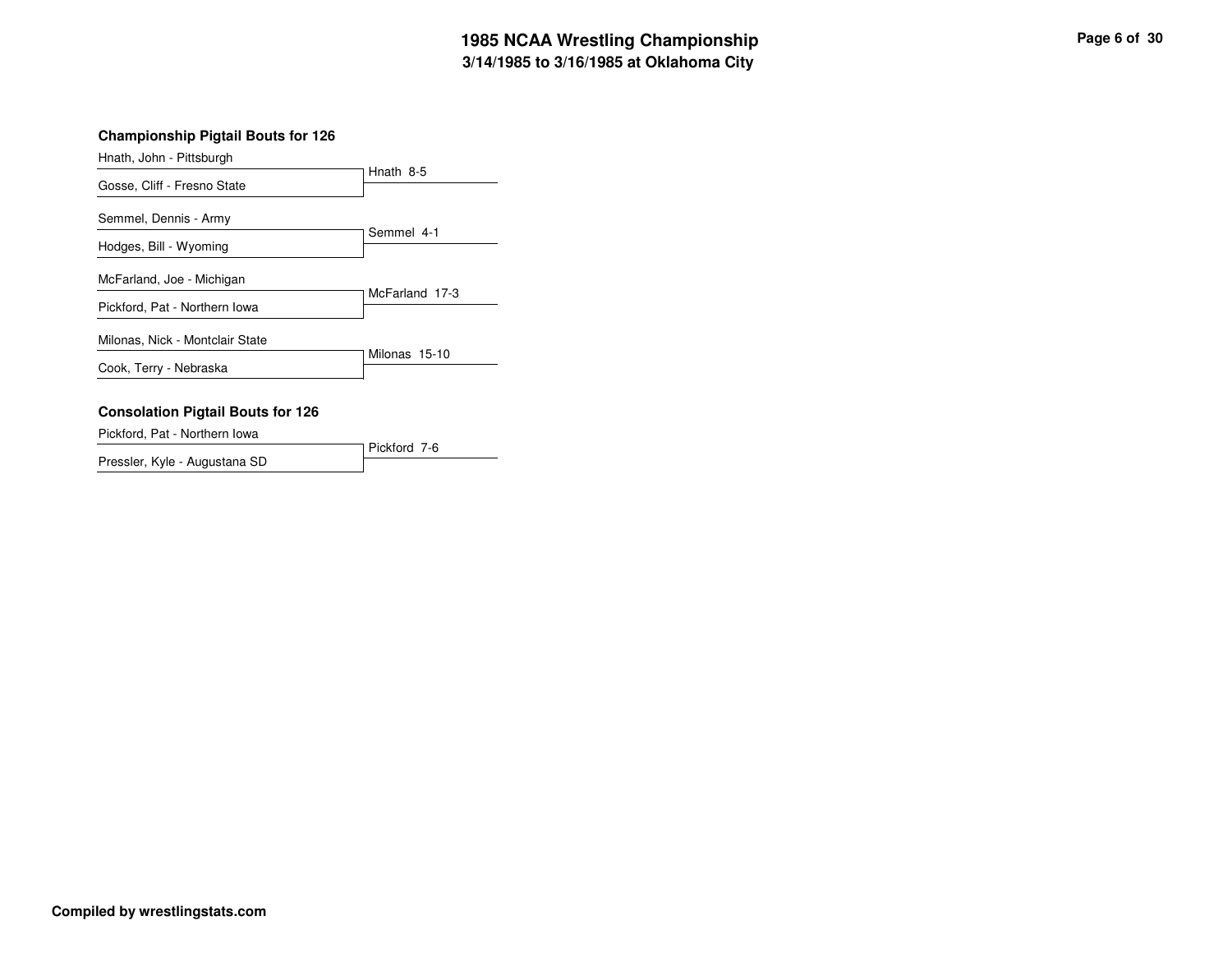# **3/14/1985 to 3/16/1985 at Oklahoma City 1985 NCAA Wrestling Championship Page <sup>6</sup> of <sup>30</sup>**

Hnath, John - Pittsburgh

|                                 | Hnath 8-5      |
|---------------------------------|----------------|
| Gosse, Cliff - Fresno State     |                |
| Semmel, Dennis - Army           |                |
| Hodges, Bill - Wyoming          | Semmel 4-1     |
| McFarland, Joe - Michigan       |                |
| Pickford, Pat - Northern Iowa   | McFarland 17-3 |
| Milonas, Nick - Montclair State |                |
| Cook, Terry - Nebraska          | Milonas 15-10  |

#### **Consolation Pigtail Bouts for 126**

Pickford, Pat - Northern Iowa

Pickford 7-6 Pressler, Kyle - Augustana SD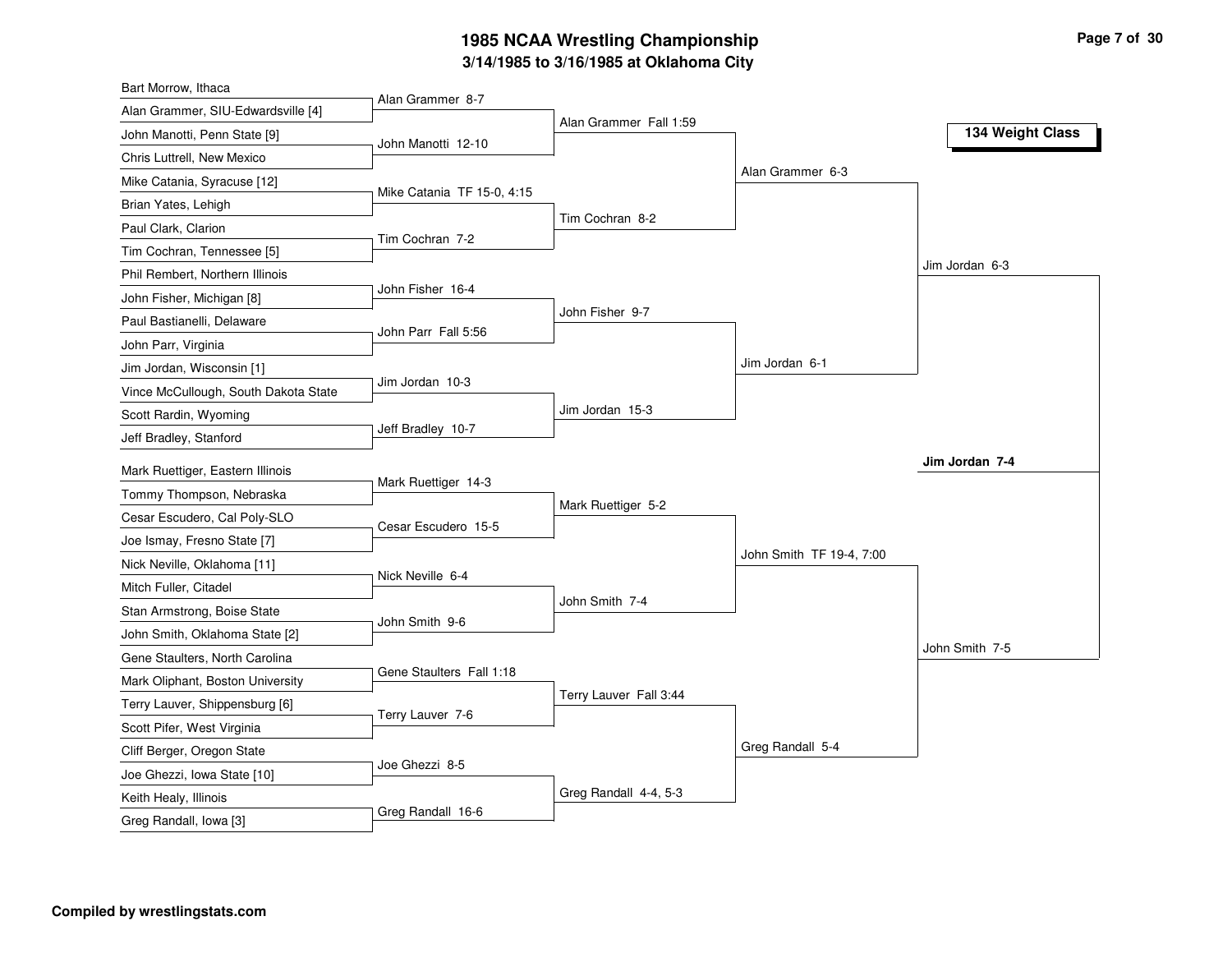# **3/14/1985 to 3/16/1985 at Oklahoma City 1985 NCAA Wrestling Championship Page <sup>7</sup> of <sup>30</sup>**

| Bart Morrow, Ithaca                  |                            |                        |                          |                  |
|--------------------------------------|----------------------------|------------------------|--------------------------|------------------|
| Alan Grammer, SIU-Edwardsville [4]   | Alan Grammer 8-7           |                        |                          |                  |
| John Manotti, Penn State [9]         | John Manotti 12-10         | Alan Grammer Fall 1:59 |                          | 134 Weight Class |
| Chris Luttrell, New Mexico           |                            |                        |                          |                  |
| Mike Catania, Syracuse [12]          |                            |                        | Alan Grammer 6-3         |                  |
| Brian Yates, Lehigh                  | Mike Catania TF 15-0, 4:15 |                        |                          |                  |
| Paul Clark, Clarion                  |                            | Tim Cochran 8-2        |                          |                  |
| Tim Cochran, Tennessee [5]           | Tim Cochran 7-2            |                        |                          |                  |
| Phil Rembert, Northern Illinois      |                            |                        |                          | Jim Jordan 6-3   |
| John Fisher, Michigan [8]            | John Fisher 16-4           |                        |                          |                  |
| Paul Bastianelli, Delaware           |                            | John Fisher 9-7        |                          |                  |
| John Parr, Virginia                  | John Parr Fall 5:56        |                        |                          |                  |
| Jim Jordan, Wisconsin [1]            |                            |                        | Jim Jordan 6-1           |                  |
| Vince McCullough, South Dakota State | Jim Jordan 10-3            |                        |                          |                  |
| Scott Rardin, Wyoming                |                            | Jim Jordan 15-3        |                          |                  |
| Jeff Bradley, Stanford               | Jeff Bradley 10-7          |                        |                          |                  |
| Mark Ruettiger, Eastern Illinois     |                            |                        |                          | Jim Jordan 7-4   |
| Tommy Thompson, Nebraska             | Mark Ruettiger 14-3        |                        |                          |                  |
| Cesar Escudero, Cal Poly-SLO         |                            | Mark Ruettiger 5-2     |                          |                  |
| Joe Ismay, Fresno State [7]          | Cesar Escudero 15-5        |                        |                          |                  |
| Nick Neville, Oklahoma [11]          |                            |                        | John Smith TF 19-4, 7:00 |                  |
|                                      | Nick Neville 6-4           |                        |                          |                  |
| Mitch Fuller, Citadel                |                            | John Smith 7-4         |                          |                  |
| Stan Armstrong, Boise State          | John Smith 9-6             |                        |                          |                  |
| John Smith, Oklahoma State [2]       |                            |                        |                          | John Smith 7-5   |
| Gene Staulters, North Carolina       | Gene Staulters Fall 1:18   |                        |                          |                  |
| Mark Oliphant, Boston University     |                            | Terry Lauver Fall 3:44 |                          |                  |
| Terry Lauver, Shippensburg [6]       | Terry Lauver 7-6           |                        |                          |                  |
| Scott Pifer, West Virginia           |                            |                        | Greg Randall 5-4         |                  |
| Cliff Berger, Oregon State           | Joe Ghezzi 8-5             |                        |                          |                  |
| Joe Ghezzi, Iowa State [10]          |                            | Greg Randall 4-4, 5-3  |                          |                  |
| Keith Healy, Illinois                | Greg Randall 16-6          |                        |                          |                  |
| Greg Randall, Iowa [3]               |                            |                        |                          |                  |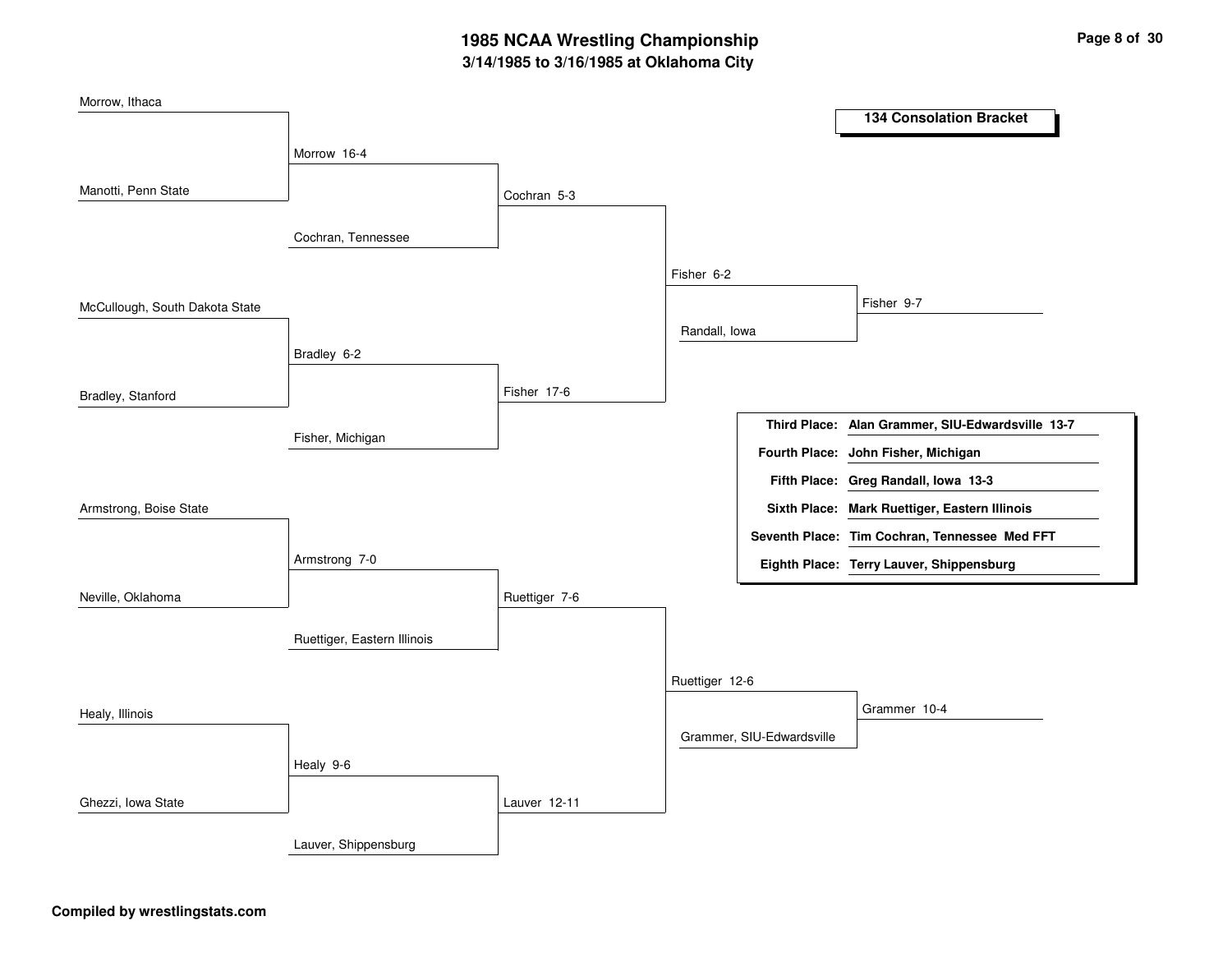# **3/14/1985 to 3/16/1985 at Oklahoma City 1985 NCAA Wrestling Championship Page <sup>8</sup> of <sup>30</sup>**

| Morrow, Ithaca                 |                             |               |                |                           |                                                  |
|--------------------------------|-----------------------------|---------------|----------------|---------------------------|--------------------------------------------------|
|                                |                             |               |                |                           | <b>134 Consolation Bracket</b>                   |
|                                | Morrow 16-4                 |               |                |                           |                                                  |
| Manotti, Penn State            |                             |               |                |                           |                                                  |
|                                |                             | Cochran 5-3   |                |                           |                                                  |
|                                | Cochran, Tennessee          |               |                |                           |                                                  |
|                                |                             |               |                |                           |                                                  |
|                                |                             |               | Fisher 6-2     |                           |                                                  |
| McCullough, South Dakota State |                             |               |                |                           | Fisher 9-7                                       |
|                                |                             |               | Randall, lowa  |                           |                                                  |
|                                | Bradley 6-2                 |               |                |                           |                                                  |
| Bradley, Stanford              |                             | Fisher 17-6   |                |                           |                                                  |
|                                |                             |               |                |                           |                                                  |
|                                | Fisher, Michigan            |               |                |                           | Third Place: Alan Grammer, SIU-Edwardsville 13-7 |
|                                |                             |               |                |                           | Fourth Place: John Fisher, Michigan              |
|                                |                             |               |                |                           | Fifth Place: Greg Randall, Iowa 13-3             |
| Armstrong, Boise State         |                             |               |                |                           | Sixth Place: Mark Ruettiger, Eastern Illinois    |
|                                |                             |               |                |                           | Seventh Place: Tim Cochran, Tennessee Med FFT    |
|                                | Armstrong 7-0               |               |                |                           | Eighth Place: Terry Lauver, Shippensburg         |
| Neville, Oklahoma              |                             | Ruettiger 7-6 |                |                           |                                                  |
|                                |                             |               |                |                           |                                                  |
|                                | Ruettiger, Eastern Illinois |               |                |                           |                                                  |
|                                |                             |               | Ruettiger 12-6 |                           |                                                  |
|                                |                             |               |                |                           |                                                  |
| Healy, Illinois                |                             |               |                |                           | Grammer 10-4                                     |
|                                |                             |               |                | Grammer, SIU-Edwardsville |                                                  |
|                                | Healy 9-6                   |               |                |                           |                                                  |
| Ghezzi, Iowa State             |                             | Lauver 12-11  |                |                           |                                                  |
|                                |                             |               |                |                           |                                                  |
|                                | Lauver, Shippensburg        |               |                |                           |                                                  |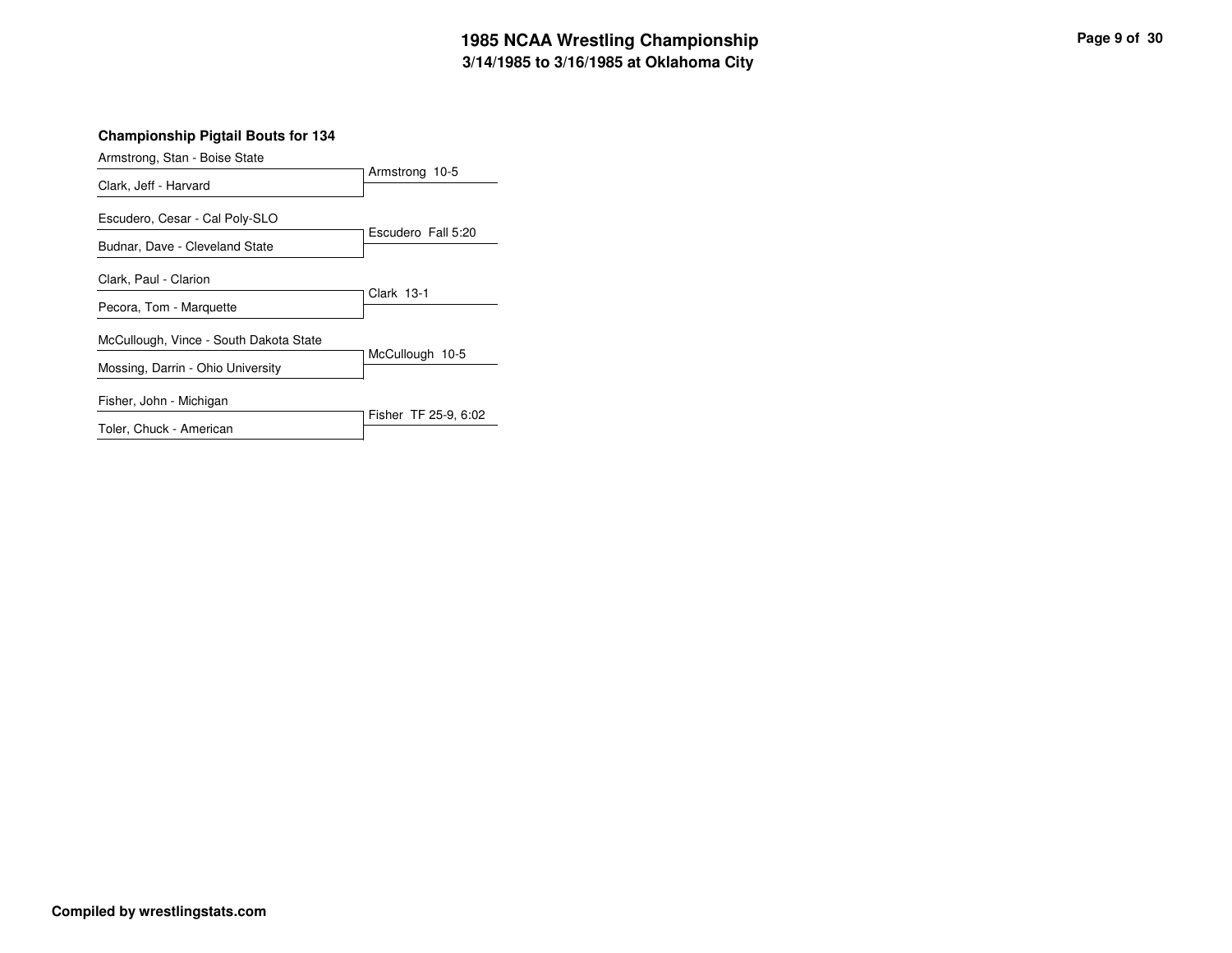# **3/14/1985 to 3/16/1985 at Oklahoma City 1985 NCAA Wrestling Championship Page <sup>9</sup> of <sup>30</sup>**

| Armstrong, Stan - Boise State          |                      |
|----------------------------------------|----------------------|
| Clark, Jeff - Harvard                  | Armstrong 10-5       |
| Escudero, Cesar - Cal Poly-SLO         | Escudero Fall 5:20   |
| Budnar, Dave - Cleveland State         |                      |
| Clark, Paul - Clarion                  |                      |
| Pecora, Tom - Marquette                | Clark 13-1           |
| McCullough, Vince - South Dakota State |                      |
| Mossing, Darrin - Ohio University      | McCullough 10-5      |
| Fisher, John - Michigan                |                      |
| Toler, Chuck - American                | Fisher TF 25-9, 6:02 |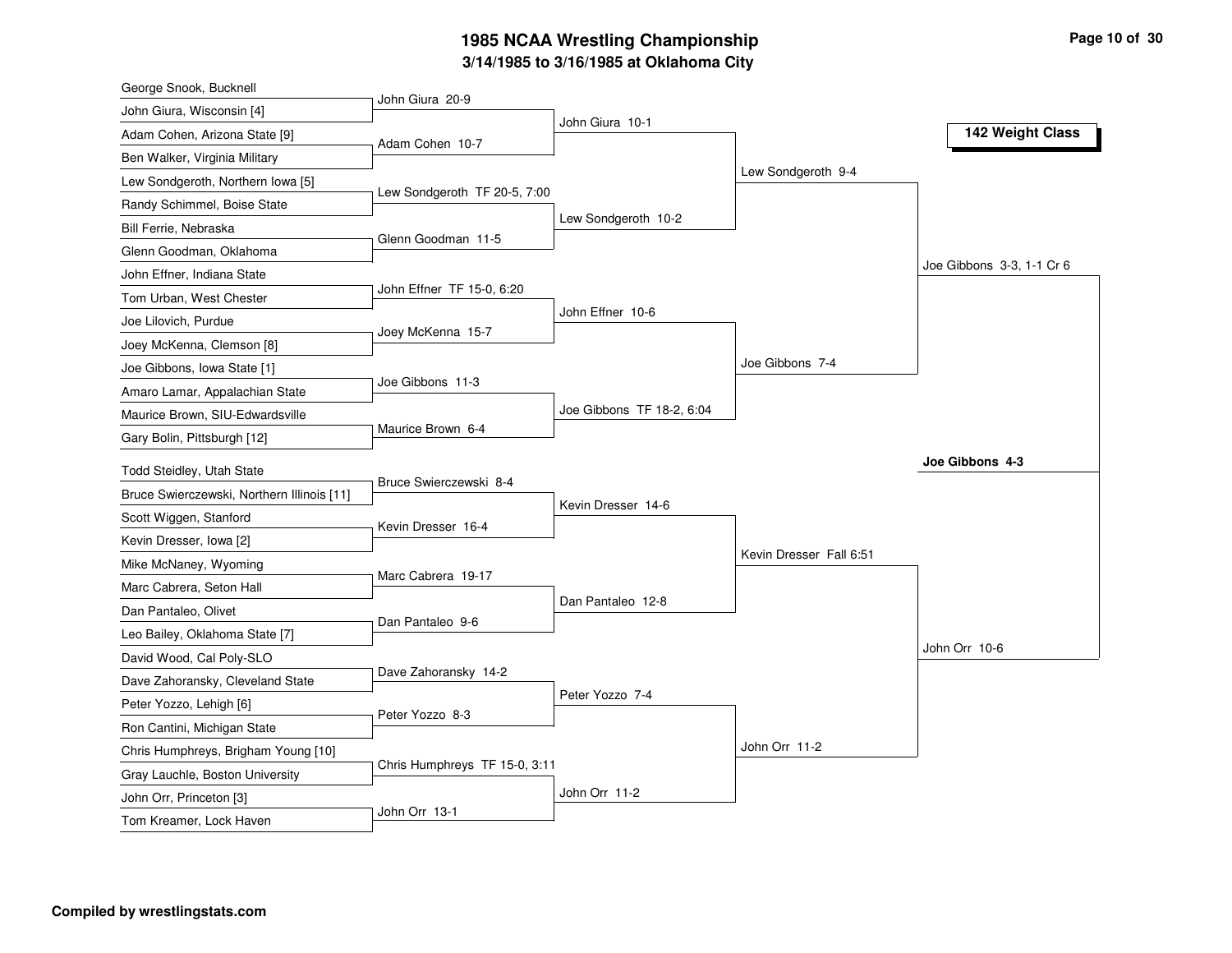# **3/14/1985 to 3/16/1985 at Oklahoma City 1985 NCAA Wrestling Championship Page <sup>10</sup> of <sup>30</sup>**

| George Snook, Bucknell                                                  |                               |                           |                         |                           |
|-------------------------------------------------------------------------|-------------------------------|---------------------------|-------------------------|---------------------------|
| John Giura, Wisconsin [4]                                               | John Giura 20-9               |                           |                         |                           |
| Adam Cohen, Arizona State [9]                                           | Adam Cohen 10-7               | John Giura 10-1           |                         | 142 Weight Class          |
| Ben Walker, Virginia Military                                           |                               |                           |                         |                           |
| Lew Sondgeroth, Northern Iowa [5]                                       |                               |                           | Lew Sondgeroth 9-4      |                           |
| Randy Schimmel, Boise State                                             | Lew Sondgeroth TF 20-5, 7:00  |                           |                         |                           |
| Bill Ferrie, Nebraska                                                   |                               | Lew Sondgeroth 10-2       |                         |                           |
| Glenn Goodman, Oklahoma                                                 | Glenn Goodman 11-5            |                           |                         |                           |
| John Effner, Indiana State                                              |                               |                           |                         | Joe Gibbons 3-3, 1-1 Cr 6 |
| Tom Urban, West Chester                                                 | John Effner TF 15-0, 6:20     |                           |                         |                           |
| Joe Lilovich, Purdue                                                    |                               | John Effner 10-6          |                         |                           |
| Joey McKenna, Clemson [8]                                               | Joey McKenna 15-7             |                           |                         |                           |
| Joe Gibbons, Iowa State [1]                                             |                               |                           | Joe Gibbons 7-4         |                           |
| Amaro Lamar, Appalachian State                                          | Joe Gibbons 11-3              |                           |                         |                           |
| Maurice Brown, SIU-Edwardsville                                         |                               | Joe Gibbons TF 18-2, 6:04 |                         |                           |
| Gary Bolin, Pittsburgh [12]                                             | Maurice Brown 6-4             |                           |                         |                           |
|                                                                         |                               |                           |                         | Joe Gibbons 4-3           |
| Todd Steidley, Utah State<br>Bruce Swierczewski, Northern Illinois [11] | Bruce Swierczewski 8-4        |                           |                         |                           |
|                                                                         |                               | Kevin Dresser 14-6        |                         |                           |
| Scott Wiggen, Stanford                                                  | Kevin Dresser 16-4            |                           |                         |                           |
| Kevin Dresser, Iowa [2]                                                 |                               |                           | Kevin Dresser Fall 6:51 |                           |
| Mike McNaney, Wyoming                                                   | Marc Cabrera 19-17            |                           |                         |                           |
| Marc Cabrera, Seton Hall                                                |                               | Dan Pantaleo 12-8         |                         |                           |
| Dan Pantaleo, Olivet                                                    | Dan Pantaleo 9-6              |                           |                         |                           |
| Leo Bailey, Oklahoma State [7]                                          |                               |                           |                         | John Orr 10-6             |
| David Wood, Cal Poly-SLO                                                | Dave Zahoransky 14-2          |                           |                         |                           |
| Dave Zahoransky, Cleveland State                                        |                               | Peter Yozzo 7-4           |                         |                           |
| Peter Yozzo, Lehigh [6]                                                 | Peter Yozzo 8-3               |                           |                         |                           |
| Ron Cantini, Michigan State                                             |                               |                           | John Orr 11-2           |                           |
| Chris Humphreys, Brigham Young [10]                                     | Chris Humphreys TF 15-0, 3:11 |                           |                         |                           |
| Gray Lauchle, Boston University                                         |                               | John Orr 11-2             |                         |                           |
| John Orr, Princeton [3]                                                 | John Orr 13-1                 |                           |                         |                           |
| Tom Kreamer, Lock Haven                                                 |                               |                           |                         |                           |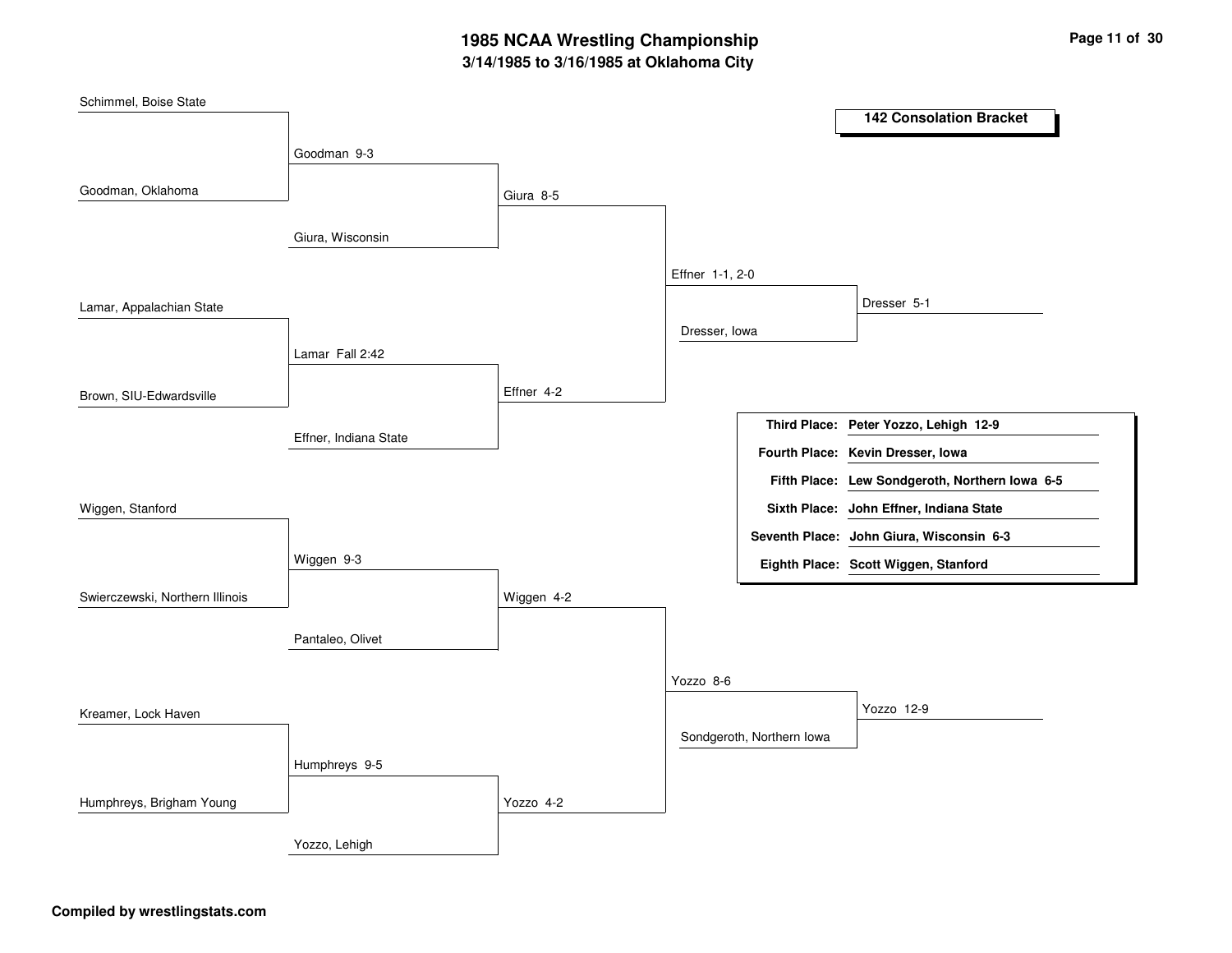# **3/14/1985 to 3/16/1985 at Oklahoma City 1985 NCAA Wrestling Championship Page <sup>11</sup> of <sup>30</sup>**

| Schimmel, Boise State           |                       |            |                 |                           | <b>142 Consolation Bracket</b>                 |
|---------------------------------|-----------------------|------------|-----------------|---------------------------|------------------------------------------------|
|                                 | Goodman 9-3           |            |                 |                           |                                                |
|                                 |                       |            |                 |                           |                                                |
| Goodman, Oklahoma               |                       | Giura 8-5  |                 |                           |                                                |
|                                 | Giura, Wisconsin      |            |                 |                           |                                                |
|                                 |                       |            | Effner 1-1, 2-0 |                           |                                                |
|                                 |                       |            |                 |                           | Dresser 5-1                                    |
| Lamar, Appalachian State        |                       |            | Dresser, Iowa   |                           |                                                |
|                                 | Lamar Fall 2:42       |            |                 |                           |                                                |
| Brown, SIU-Edwardsville         |                       | Effner 4-2 |                 |                           |                                                |
|                                 |                       |            |                 |                           | Third Place: Peter Yozzo, Lehigh 12-9          |
|                                 | Effner, Indiana State |            |                 |                           |                                                |
|                                 |                       |            |                 |                           | Fourth Place: Kevin Dresser, Iowa              |
|                                 |                       |            |                 |                           | Fifth Place: Lew Sondgeroth, Northern Iowa 6-5 |
| Wiggen, Stanford                |                       |            |                 |                           | Sixth Place: John Effner, Indiana State        |
|                                 |                       |            |                 |                           | Seventh Place: John Giura, Wisconsin 6-3       |
|                                 | Wiggen 9-3            |            |                 |                           | Eighth Place: Scott Wiggen, Stanford           |
| Swierczewski, Northern Illinois |                       | Wiggen 4-2 |                 |                           |                                                |
|                                 | Pantaleo, Olivet      |            |                 |                           |                                                |
|                                 |                       |            |                 |                           |                                                |
|                                 |                       |            | Yozzo 8-6       |                           |                                                |
| Kreamer, Lock Haven             |                       |            |                 |                           | Yozzo 12-9                                     |
|                                 |                       |            |                 | Sondgeroth, Northern Iowa |                                                |
|                                 | Humphreys 9-5         |            |                 |                           |                                                |
| Humphreys, Brigham Young        |                       | Yozzo 4-2  |                 |                           |                                                |
|                                 | Yozzo, Lehigh         |            |                 |                           |                                                |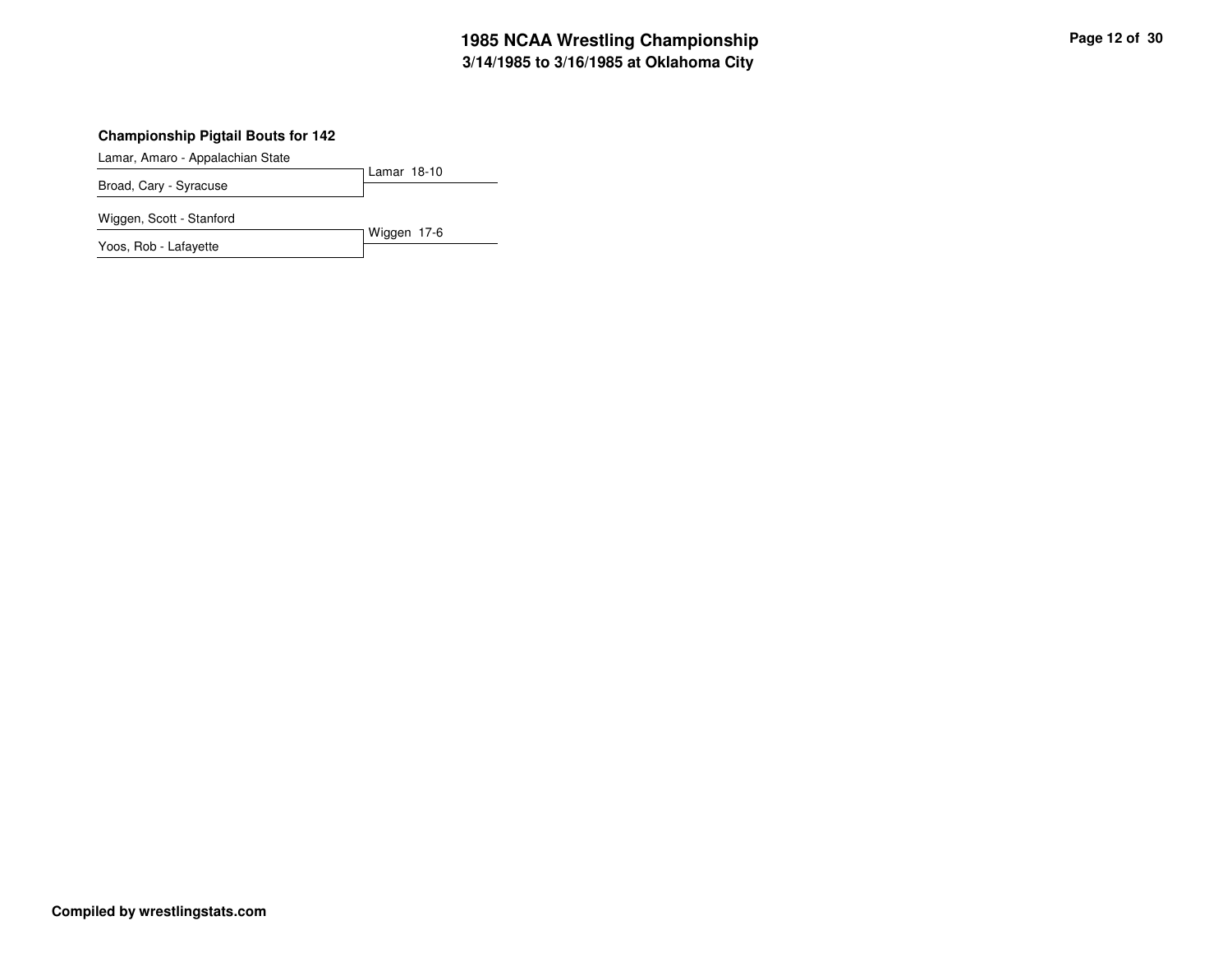# **3/14/1985 to 3/16/1985 at Oklahoma City 1985 NCAA Wrestling Championship Page <sup>12</sup> of <sup>30</sup>**

## **Championship Pigtail Bouts for 142**

Lamar, Amaro - Appalachian State

Lamar 18-10 Broad, Cary - Syracuse

Wiggen, Scott - Stanford

Wiggen 17-6 Yoos, Rob - Lafayette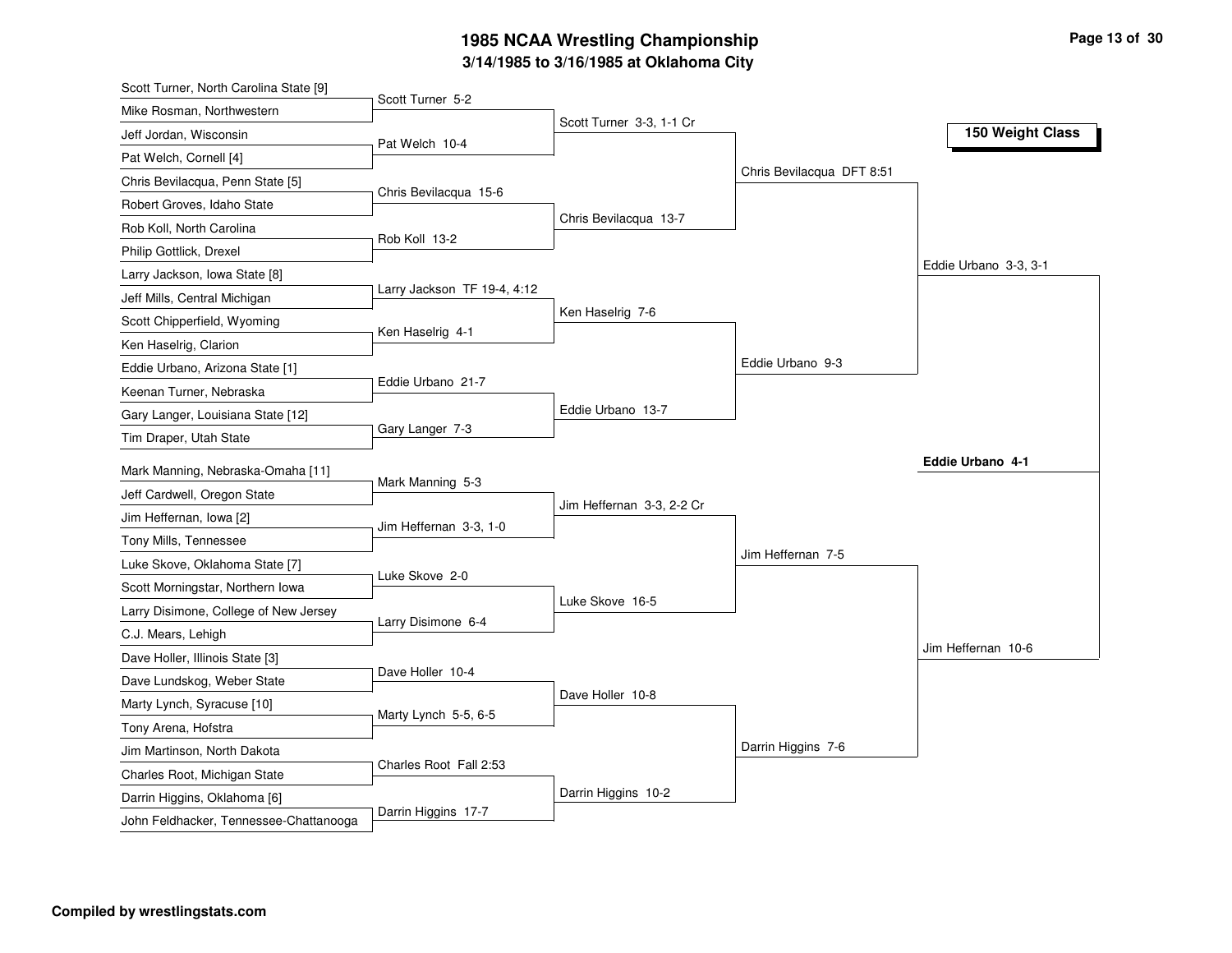# **3/14/1985 to 3/16/1985 at Oklahoma City 1985 NCAA Wrestling Championship Page <sup>13</sup> of <sup>30</sup>**

| Scott Turner, North Carolina State [9] |                             |                           |                           |                       |
|----------------------------------------|-----------------------------|---------------------------|---------------------------|-----------------------|
| Mike Rosman, Northwestern              | Scott Turner 5-2            |                           |                           |                       |
| Jeff Jordan, Wisconsin                 | Pat Welch 10-4              | Scott Turner 3-3, 1-1 Cr  |                           | 150 Weight Class      |
| Pat Welch, Cornell [4]                 |                             |                           |                           |                       |
| Chris Bevilacqua, Penn State [5]       |                             |                           | Chris Bevilacqua DFT 8:51 |                       |
| Robert Groves, Idaho State             | Chris Bevilacqua 15-6       |                           |                           |                       |
| Rob Koll, North Carolina               |                             | Chris Bevilacqua 13-7     |                           |                       |
| Philip Gottlick, Drexel                | Rob Koll 13-2               |                           |                           |                       |
| Larry Jackson, Iowa State [8]          |                             |                           |                           | Eddie Urbano 3-3, 3-1 |
| Jeff Mills, Central Michigan           | Larry Jackson TF 19-4, 4:12 |                           |                           |                       |
| Scott Chipperfield, Wyoming            |                             | Ken Haselrig 7-6          |                           |                       |
| Ken Haselrig, Clarion                  | Ken Haselrig 4-1            |                           |                           |                       |
| Eddie Urbano, Arizona State [1]        |                             |                           | Eddie Urbano 9-3          |                       |
| Keenan Turner, Nebraska                | Eddie Urbano 21-7           |                           |                           |                       |
| Gary Langer, Louisiana State [12]      |                             | Eddie Urbano 13-7         |                           |                       |
| Tim Draper, Utah State                 | Gary Langer 7-3             |                           |                           |                       |
| Mark Manning, Nebraska-Omaha [11]      |                             |                           |                           | Eddie Urbano 4-1      |
| Jeff Cardwell, Oregon State            | Mark Manning 5-3            |                           |                           |                       |
| Jim Heffernan, Iowa [2]                |                             | Jim Heffernan 3-3, 2-2 Cr |                           |                       |
| Tony Mills, Tennessee                  | Jim Heffernan 3-3, 1-0      |                           |                           |                       |
| Luke Skove, Oklahoma State [7]         |                             |                           | Jim Heffernan 7-5         |                       |
| Scott Morningstar, Northern Iowa       | Luke Skove 2-0              |                           |                           |                       |
| Larry Disimone, College of New Jersey  |                             | Luke Skove 16-5           |                           |                       |
| C.J. Mears, Lehigh                     | Larry Disimone 6-4          |                           |                           |                       |
| Dave Holler, Illinois State [3]        |                             |                           |                           | Jim Heffernan 10-6    |
| Dave Lundskog, Weber State             | Dave Holler 10-4            |                           |                           |                       |
| Marty Lynch, Syracuse [10]             |                             | Dave Holler 10-8          |                           |                       |
| Tony Arena, Hofstra                    | Marty Lynch 5-5, 6-5        |                           |                           |                       |
| Jim Martinson, North Dakota            |                             |                           | Darrin Higgins 7-6        |                       |
| Charles Root, Michigan State           | Charles Root Fall 2:53      |                           |                           |                       |
| Darrin Higgins, Oklahoma [6]           |                             | Darrin Higgins 10-2       |                           |                       |
| John Feldhacker, Tennessee-Chattanooga | Darrin Higgins 17-7         |                           |                           |                       |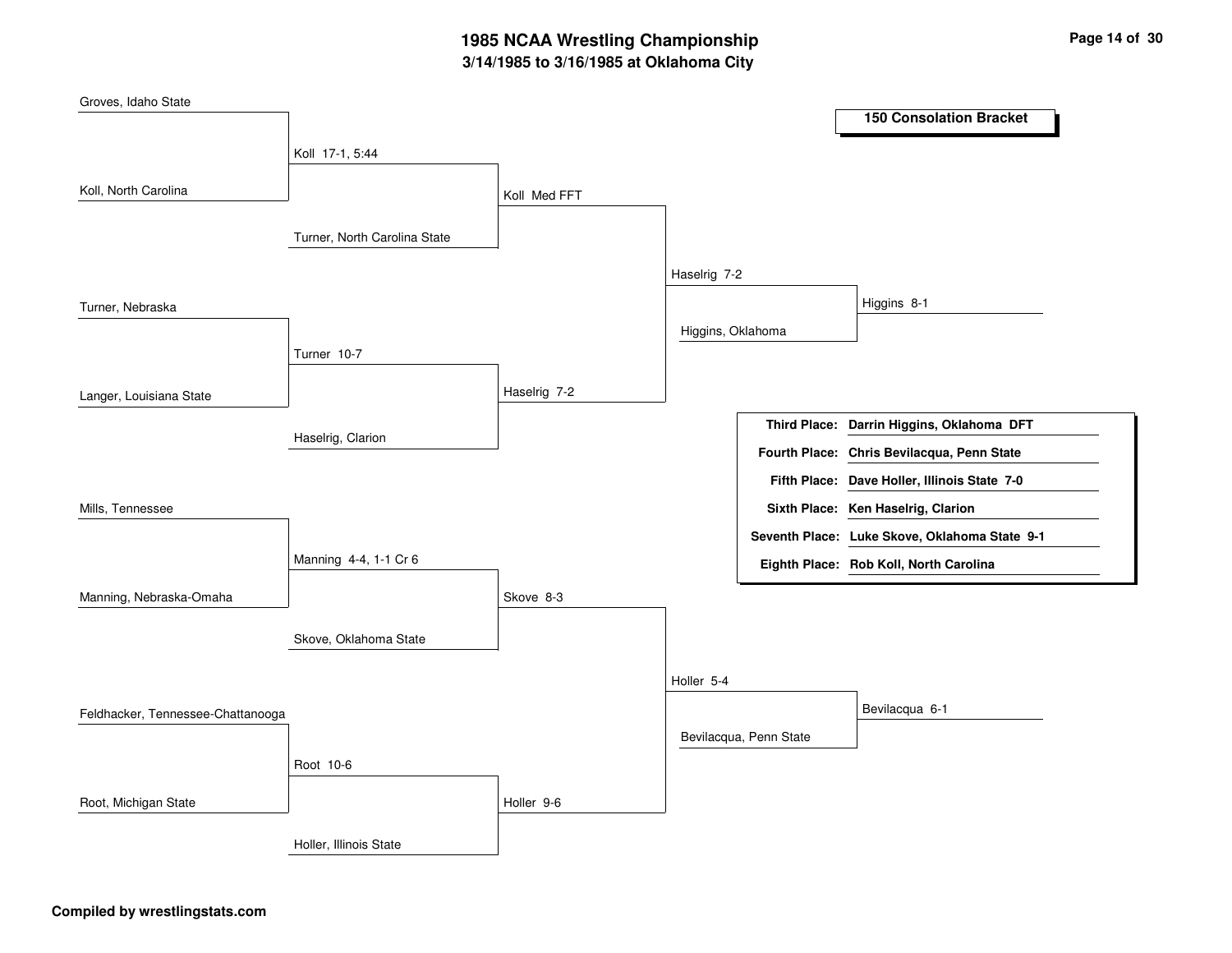# **3/14/1985 to 3/16/1985 at Oklahoma City 1985 NCAA Wrestling Championship Page <sup>14</sup> of <sup>30</sup>**

| Groves, Idaho State               |                              |              |                   |                        | <b>150 Consolation Bracket</b>                |
|-----------------------------------|------------------------------|--------------|-------------------|------------------------|-----------------------------------------------|
|                                   |                              |              |                   |                        |                                               |
|                                   | Koll 17-1, 5:44              |              |                   |                        |                                               |
| Koll, North Carolina              |                              | Koll Med FFT |                   |                        |                                               |
|                                   | Turner, North Carolina State |              |                   |                        |                                               |
|                                   |                              |              | Haselrig 7-2      |                        |                                               |
| Turner, Nebraska                  |                              |              |                   |                        | Higgins 8-1                                   |
|                                   |                              |              | Higgins, Oklahoma |                        |                                               |
|                                   | Turner 10-7                  |              |                   |                        |                                               |
| Langer, Louisiana State           |                              | Haselrig 7-2 |                   |                        |                                               |
|                                   | Haselrig, Clarion            |              |                   |                        | Third Place: Darrin Higgins, Oklahoma DFT     |
|                                   |                              |              |                   |                        | Fourth Place: Chris Bevilacqua, Penn State    |
|                                   |                              |              |                   |                        | Fifth Place: Dave Holler, Illinois State 7-0  |
| Mills, Tennessee                  |                              |              |                   |                        | Sixth Place: Ken Haselrig, Clarion            |
|                                   |                              |              |                   |                        | Seventh Place: Luke Skove, Oklahoma State 9-1 |
|                                   | Manning 4-4, 1-1 Cr 6        |              |                   |                        | Eighth Place: Rob Koll, North Carolina        |
| Manning, Nebraska-Omaha           |                              | Skove 8-3    |                   |                        |                                               |
|                                   | Skove, Oklahoma State        |              |                   |                        |                                               |
|                                   |                              |              | Holler 5-4        |                        |                                               |
|                                   |                              |              |                   |                        | Bevilacqua 6-1                                |
| Feldhacker, Tennessee-Chattanooga |                              |              |                   | Bevilacqua, Penn State |                                               |
|                                   | Root 10-6                    |              |                   |                        |                                               |
| Root, Michigan State              |                              | Holler 9-6   |                   |                        |                                               |
|                                   | Holler, Illinois State       |              |                   |                        |                                               |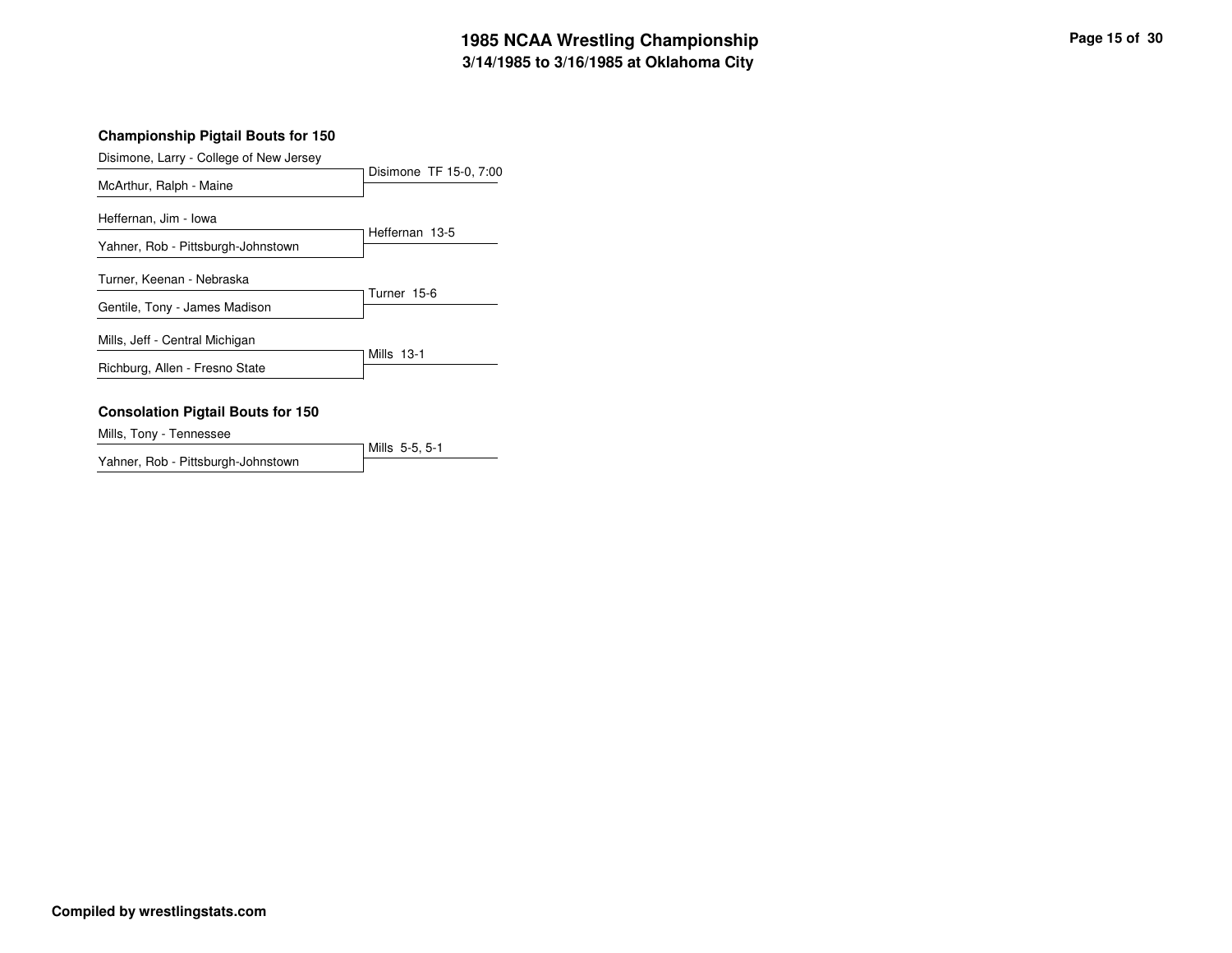# **3/14/1985 to 3/16/1985 at Oklahoma City 1985 NCAA Wrestling Championship Page <sup>15</sup> of <sup>30</sup>**

## **Championship Pigtail Bouts for 150**

| Disimone, Larry - College of New Jersey  |                        |
|------------------------------------------|------------------------|
| McArthur, Ralph - Maine                  | Disimone TF 15-0, 7:00 |
| Heffernan, Jim - Iowa                    |                        |
| Yahner, Rob - Pittsburgh-Johnstown       | Heffernan 13-5         |
| Turner, Keenan - Nebraska                |                        |
| Gentile, Tony - James Madison            | Turner 15-6            |
| Mills, Jeff - Central Michigan           |                        |
| Richburg, Allen - Fresno State           | Mills 13-1             |
| <b>Consolation Pigtail Bouts for 150</b> |                        |

Mills, Tony - Tennessee

Mills 5-5, 5-1 Yahner, Rob - Pittsburgh-Johnstown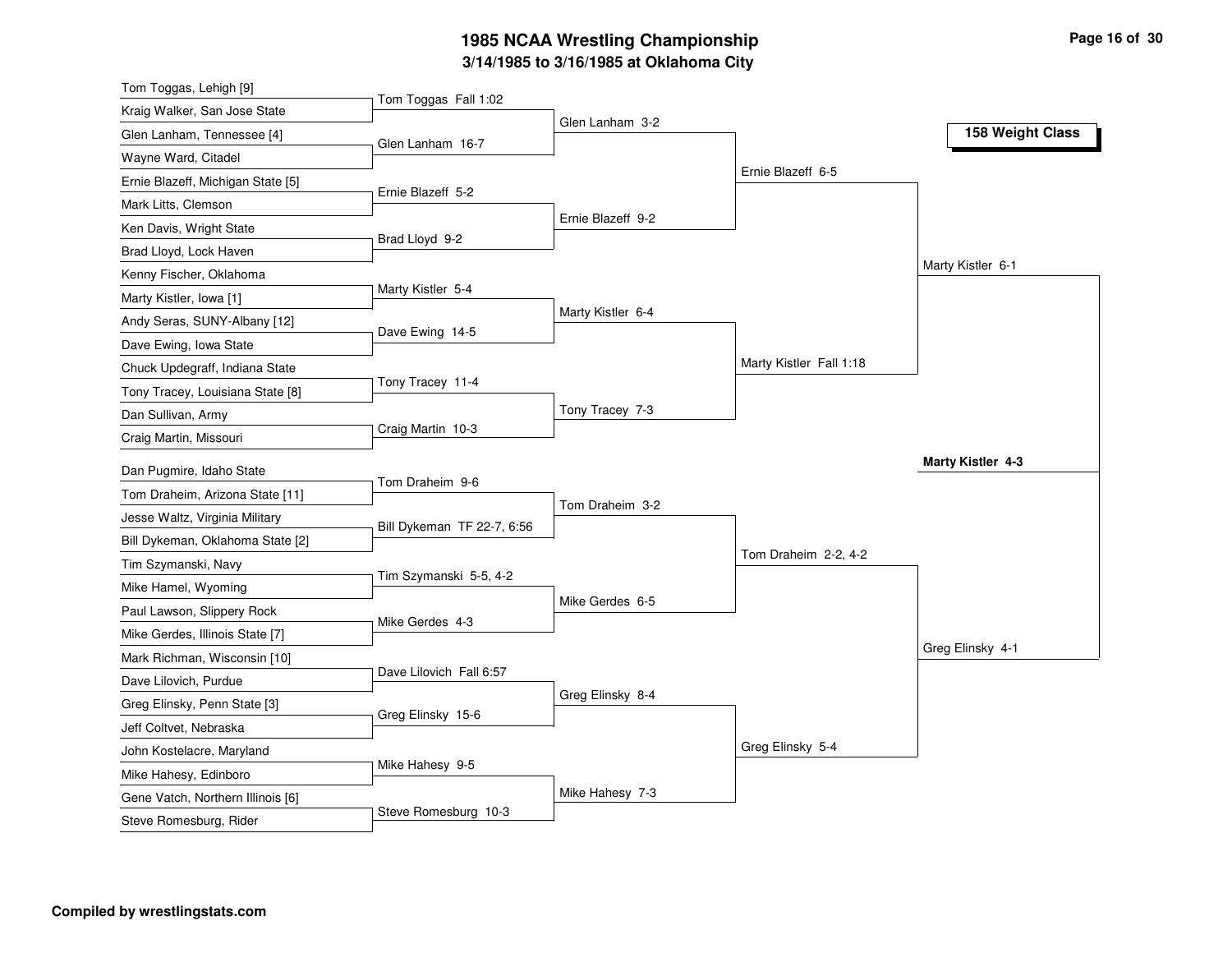# **3/14/1985 to 3/16/1985 at Oklahoma City 1985 NCAA Wrestling Championship Page <sup>16</sup> of <sup>30</sup>**

| Tom Toggas, Lehigh [9]            |                            |                   |                         |                   |
|-----------------------------------|----------------------------|-------------------|-------------------------|-------------------|
| Kraig Walker, San Jose State      | Tom Toggas Fall 1:02       |                   |                         |                   |
| Glen Lanham, Tennessee [4]        | Glen Lanham 16-7           | Glen Lanham 3-2   |                         | 158 Weight Class  |
| Wayne Ward, Citadel               |                            |                   |                         |                   |
| Ernie Blazeff, Michigan State [5] |                            |                   | Ernie Blazeff 6-5       |                   |
| Mark Litts, Clemson               | Ernie Blazeff 5-2          |                   |                         |                   |
| Ken Davis, Wright State           |                            | Ernie Blazeff 9-2 |                         |                   |
| Brad Lloyd, Lock Haven            | Brad Lloyd 9-2             |                   |                         |                   |
| Kenny Fischer, Oklahoma           |                            |                   |                         | Marty Kistler 6-1 |
| Marty Kistler, Iowa [1]           | Marty Kistler 5-4          |                   |                         |                   |
| Andy Seras, SUNY-Albany [12]      |                            | Marty Kistler 6-4 |                         |                   |
| Dave Ewing, Iowa State            | Dave Ewing 14-5            |                   |                         |                   |
| Chuck Updegraff, Indiana State    |                            |                   | Marty Kistler Fall 1:18 |                   |
| Tony Tracey, Louisiana State [8]  | Tony Tracey 11-4           |                   |                         |                   |
| Dan Sullivan, Army                |                            | Tony Tracey 7-3   |                         |                   |
| Craig Martin, Missouri            | Craig Martin 10-3          |                   |                         |                   |
| Dan Pugmire, Idaho State          |                            |                   |                         | Marty Kistler 4-3 |
| Tom Draheim, Arizona State [11]   | Tom Draheim 9-6            |                   |                         |                   |
| Jesse Waltz, Virginia Military    |                            | Tom Draheim 3-2   |                         |                   |
| Bill Dykeman, Oklahoma State [2]  | Bill Dykeman TF 22-7, 6:56 |                   |                         |                   |
| Tim Szymanski, Navy               |                            |                   | Tom Draheim 2-2, 4-2    |                   |
| Mike Hamel, Wyoming               | Tim Szymanski 5-5, 4-2     |                   |                         |                   |
| Paul Lawson, Slippery Rock        |                            | Mike Gerdes 6-5   |                         |                   |
| Mike Gerdes, Illinois State [7]   | Mike Gerdes 4-3            |                   |                         |                   |
|                                   |                            |                   |                         | Greg Elinsky 4-1  |
| Mark Richman, Wisconsin [10]      | Dave Lilovich Fall 6:57    |                   |                         |                   |
| Dave Lilovich, Purdue             |                            | Greg Elinsky 8-4  |                         |                   |
| Greg Elinsky, Penn State [3]      | Greg Elinsky 15-6          |                   |                         |                   |
| Jeff Coltvet, Nebraska            |                            |                   | Greg Elinsky 5-4        |                   |
| John Kostelacre, Maryland         | Mike Hahesy 9-5            |                   |                         |                   |
| Mike Hahesy, Edinboro             |                            | Mike Hahesy 7-3   |                         |                   |
| Gene Vatch, Northern Illinois [6] | Steve Romesburg 10-3       |                   |                         |                   |
| Steve Romesburg, Rider            |                            |                   |                         |                   |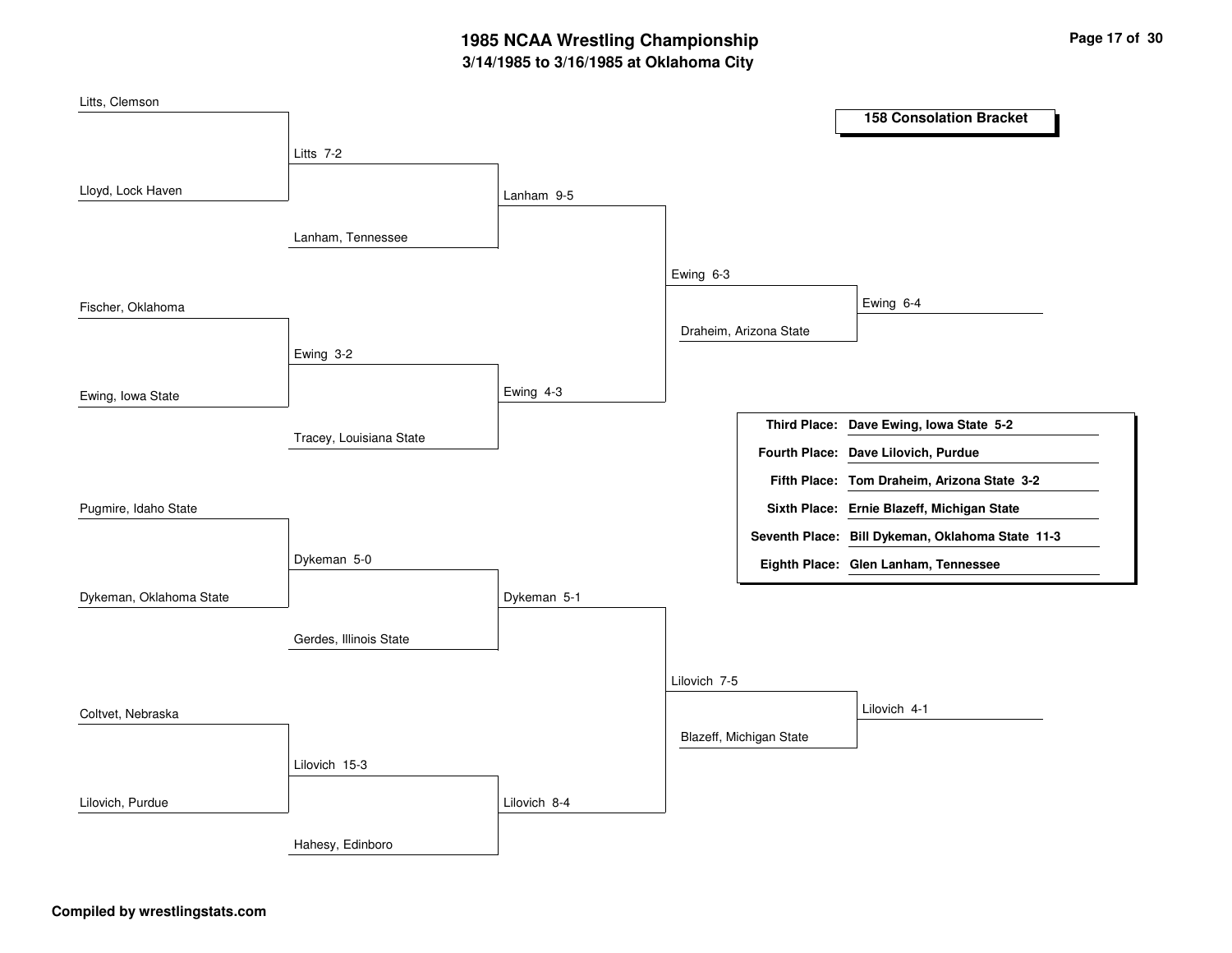# **3/14/1985 to 3/16/1985 at Oklahoma City 1985 NCAA Wrestling Championship Page <sup>17</sup> of <sup>30</sup>**

| Litts, Clemson          |                         |              |              |                         | <b>158 Consolation Bracket</b>                   |
|-------------------------|-------------------------|--------------|--------------|-------------------------|--------------------------------------------------|
|                         |                         |              |              |                         |                                                  |
|                         | Litts 7-2               |              |              |                         |                                                  |
| Lloyd, Lock Haven       |                         | Lanham 9-5   |              |                         |                                                  |
|                         |                         |              |              |                         |                                                  |
|                         | Lanham, Tennessee       |              |              |                         |                                                  |
|                         |                         |              | Ewing 6-3    |                         |                                                  |
| Fischer, Oklahoma       |                         |              |              |                         | Ewing 6-4                                        |
|                         |                         |              |              | Draheim, Arizona State  |                                                  |
|                         | Ewing 3-2               |              |              |                         |                                                  |
| Ewing, Iowa State       |                         | Ewing 4-3    |              |                         |                                                  |
|                         |                         |              |              |                         | Third Place: Dave Ewing, Iowa State 5-2          |
|                         | Tracey, Louisiana State |              |              |                         |                                                  |
|                         |                         |              |              |                         | Fourth Place: Dave Lilovich, Purdue              |
|                         |                         |              |              |                         | Fifth Place: Tom Draheim, Arizona State 3-2      |
| Pugmire, Idaho State    |                         |              |              |                         | Sixth Place: Ernie Blazeff, Michigan State       |
|                         |                         |              |              |                         | Seventh Place: Bill Dykeman, Oklahoma State 11-3 |
|                         | Dykeman 5-0             |              |              |                         | Eighth Place: Glen Lanham, Tennessee             |
| Dykeman, Oklahoma State |                         | Dykeman 5-1  |              |                         |                                                  |
|                         |                         |              |              |                         |                                                  |
|                         | Gerdes, Illinois State  |              |              |                         |                                                  |
|                         |                         |              | Lilovich 7-5 |                         |                                                  |
| Coltvet, Nebraska       |                         |              |              |                         | Lilovich 4-1                                     |
|                         |                         |              |              | Blazeff, Michigan State |                                                  |
|                         | Lilovich 15-3           |              |              |                         |                                                  |
| Lilovich, Purdue        |                         | Lilovich 8-4 |              |                         |                                                  |
|                         |                         |              |              |                         |                                                  |
|                         | Hahesy, Edinboro        |              |              |                         |                                                  |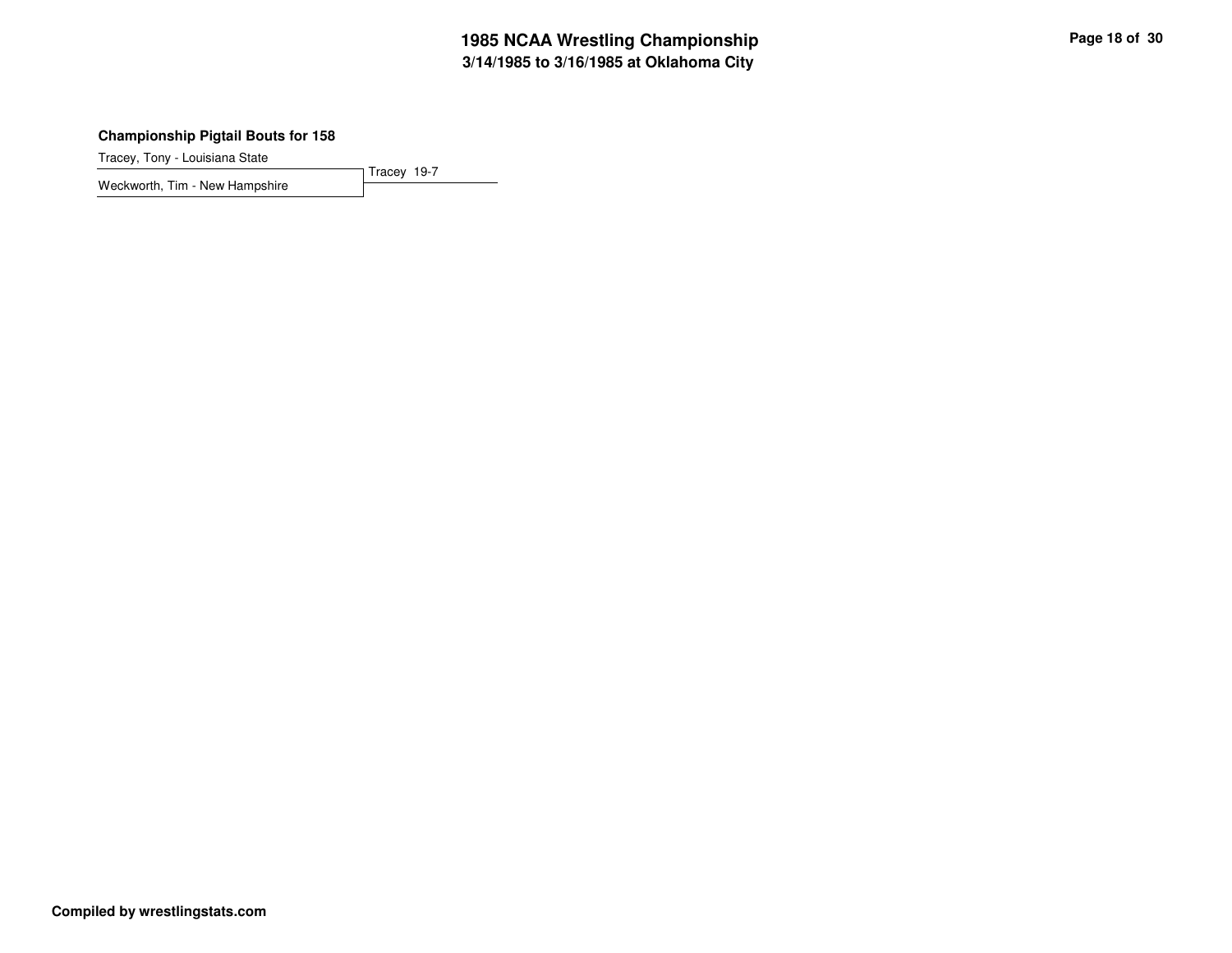# **3/14/1985 to 3/16/1985 at Oklahoma City 1985 NCAA Wrestling Championship Page <sup>18</sup> of <sup>30</sup>**

## **Championship Pigtail Bouts for 158**

Tracey 19-7

Tracey, Tony - Louisiana State

Weckworth, Tim - New Hampshire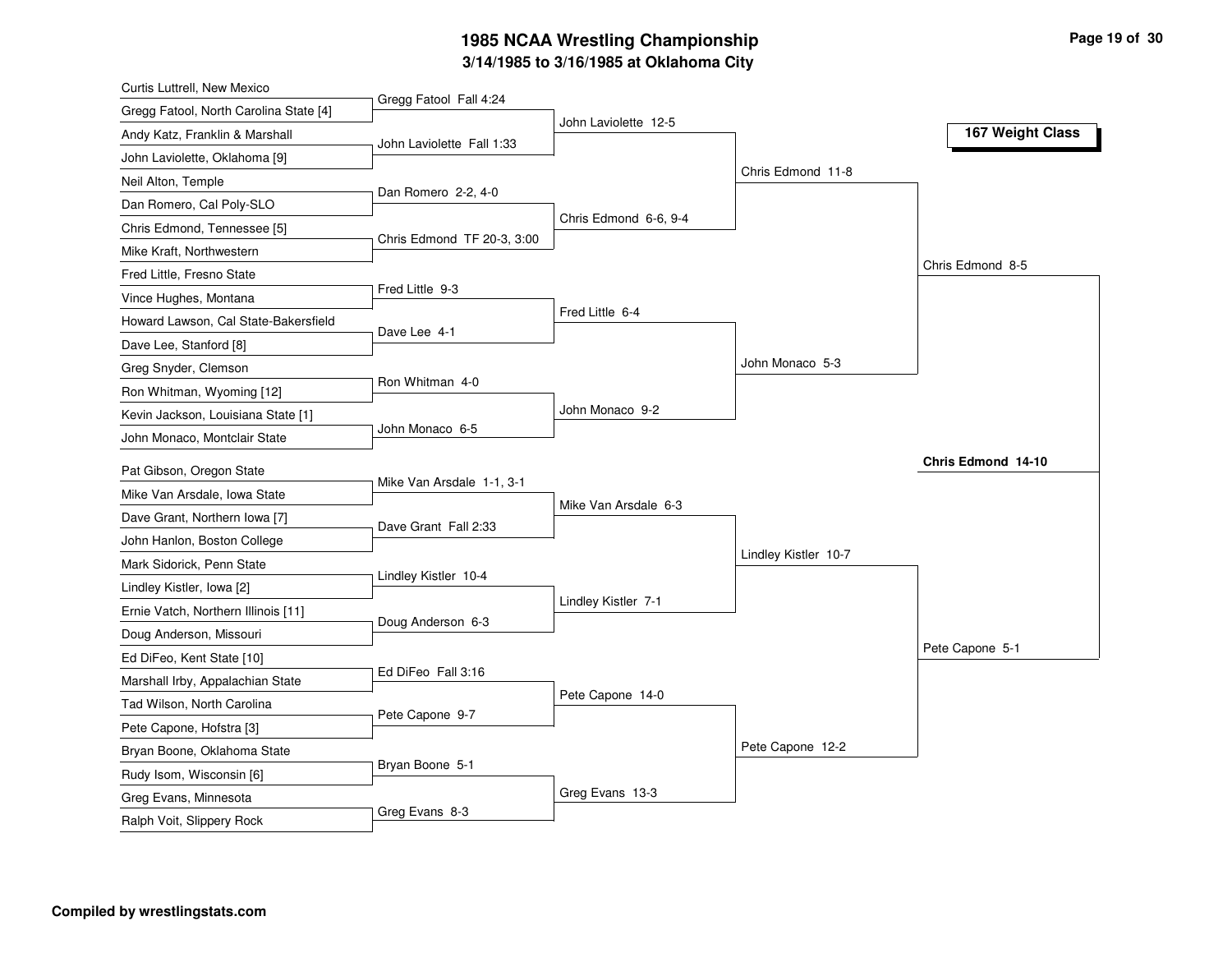# **3/14/1985 to 3/16/1985 at Oklahoma City 1985 NCAA Wrestling Championship Page <sup>19</sup> of <sup>30</sup>**

| Curtis Luttrell, New Mexico            |                            |                       |                      |                    |
|----------------------------------------|----------------------------|-----------------------|----------------------|--------------------|
| Gregg Fatool, North Carolina State [4] | Gregg Fatool Fall 4:24     |                       |                      |                    |
| Andy Katz, Franklin & Marshall         | John Laviolette Fall 1:33  | John Laviolette 12-5  |                      | 167 Weight Class   |
| John Laviolette, Oklahoma [9]          |                            |                       |                      |                    |
| Neil Alton, Temple                     |                            |                       | Chris Edmond 11-8    |                    |
| Dan Romero, Cal Poly-SLO               | Dan Romero 2-2, 4-0        |                       |                      |                    |
| Chris Edmond, Tennessee [5]            |                            | Chris Edmond 6-6, 9-4 |                      |                    |
| Mike Kraft, Northwestern               | Chris Edmond TF 20-3, 3:00 |                       |                      |                    |
| Fred Little, Fresno State              |                            |                       |                      | Chris Edmond 8-5   |
| Vince Hughes, Montana                  | Fred Little 9-3            |                       |                      |                    |
| Howard Lawson, Cal State-Bakersfield   |                            | Fred Little 6-4       |                      |                    |
| Dave Lee, Stanford [8]                 | Dave Lee 4-1               |                       |                      |                    |
| Greg Snyder, Clemson                   |                            |                       | John Monaco 5-3      |                    |
| Ron Whitman, Wyoming [12]              | Ron Whitman 4-0            |                       |                      |                    |
| Kevin Jackson, Louisiana State [1]     |                            | John Monaco 9-2       |                      |                    |
| John Monaco, Montclair State           | John Monaco 6-5            |                       |                      |                    |
| Pat Gibson, Oregon State               |                            |                       |                      | Chris Edmond 14-10 |
| Mike Van Arsdale, Iowa State           | Mike Van Arsdale 1-1, 3-1  |                       |                      |                    |
| Dave Grant, Northern Iowa [7]          |                            | Mike Van Arsdale 6-3  |                      |                    |
| John Hanlon, Boston College            | Dave Grant Fall 2:33       |                       |                      |                    |
| Mark Sidorick, Penn State              |                            |                       | Lindley Kistler 10-7 |                    |
|                                        | Lindley Kistler 10-4       |                       |                      |                    |
| Lindley Kistler, Iowa [2]              |                            | Lindley Kistler 7-1   |                      |                    |
| Ernie Vatch, Northern Illinois [11]    | Doug Anderson 6-3          |                       |                      |                    |
| Doug Anderson, Missouri                |                            |                       |                      | Pete Capone 5-1    |
| Ed DiFeo, Kent State [10]              | Ed DiFeo Fall 3:16         |                       |                      |                    |
| Marshall Irby, Appalachian State       |                            | Pete Capone 14-0      |                      |                    |
| Tad Wilson, North Carolina             | Pete Capone 9-7            |                       |                      |                    |
| Pete Capone, Hofstra [3]               |                            |                       | Pete Capone 12-2     |                    |
| Bryan Boone, Oklahoma State            | Bryan Boone 5-1            |                       |                      |                    |
| Rudy Isom, Wisconsin [6]               |                            |                       |                      |                    |
| Greg Evans, Minnesota                  | Greg Evans 8-3             | Greg Evans 13-3       |                      |                    |
| Ralph Voit, Slippery Rock              |                            |                       |                      |                    |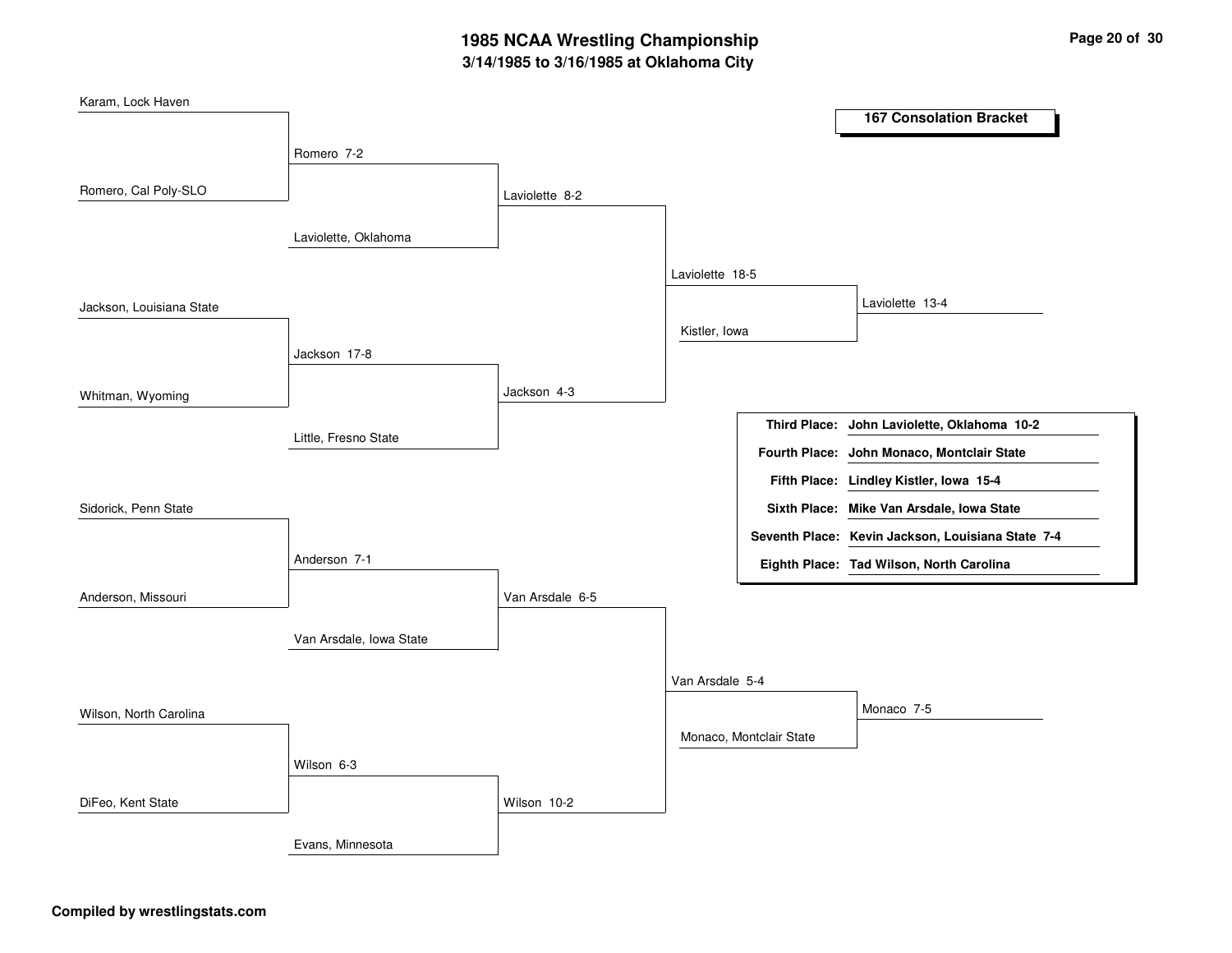# **3/14/1985 to 3/16/1985 at Oklahoma City 1985 NCAA Wrestling Championship Page <sup>20</sup> of <sup>30</sup>**

| Karam, Lock Haven        |                         |                 |                 |                         |                                                   |
|--------------------------|-------------------------|-----------------|-----------------|-------------------------|---------------------------------------------------|
|                          |                         |                 |                 |                         | <b>167 Consolation Bracket</b>                    |
|                          | Romero 7-2              |                 |                 |                         |                                                   |
|                          |                         |                 |                 |                         |                                                   |
| Romero, Cal Poly-SLO     |                         | Laviolette 8-2  |                 |                         |                                                   |
|                          | Laviolette, Oklahoma    |                 |                 |                         |                                                   |
|                          |                         |                 |                 |                         |                                                   |
|                          |                         |                 | Laviolette 18-5 |                         |                                                   |
| Jackson, Louisiana State |                         |                 |                 |                         | Laviolette 13-4                                   |
|                          |                         |                 | Kistler, Iowa   |                         |                                                   |
|                          | Jackson 17-8            |                 |                 |                         |                                                   |
|                          |                         | Jackson 4-3     |                 |                         |                                                   |
| Whitman, Wyoming         |                         |                 |                 |                         |                                                   |
|                          | Little, Fresno State    |                 |                 |                         | Third Place: John Laviolette, Oklahoma 10-2       |
|                          |                         |                 |                 |                         | Fourth Place: John Monaco, Montclair State        |
|                          |                         |                 |                 |                         | Fifth Place: Lindley Kistler, Iowa 15-4           |
| Sidorick, Penn State     |                         |                 |                 |                         | Sixth Place: Mike Van Arsdale, Iowa State         |
|                          |                         |                 |                 |                         | Seventh Place: Kevin Jackson, Louisiana State 7-4 |
|                          | Anderson 7-1            |                 |                 |                         | Eighth Place: Tad Wilson, North Carolina          |
| Anderson, Missouri       |                         | Van Arsdale 6-5 |                 |                         |                                                   |
|                          |                         |                 |                 |                         |                                                   |
|                          | Van Arsdale, Iowa State |                 |                 |                         |                                                   |
|                          |                         |                 |                 |                         |                                                   |
|                          |                         |                 | Van Arsdale 5-4 |                         |                                                   |
| Wilson, North Carolina   |                         |                 |                 |                         | Monaco 7-5                                        |
|                          |                         |                 |                 | Monaco, Montclair State |                                                   |
|                          | Wilson 6-3              |                 |                 |                         |                                                   |
| DiFeo, Kent State        |                         | Wilson 10-2     |                 |                         |                                                   |
|                          |                         |                 |                 |                         |                                                   |
|                          | Evans, Minnesota        |                 |                 |                         |                                                   |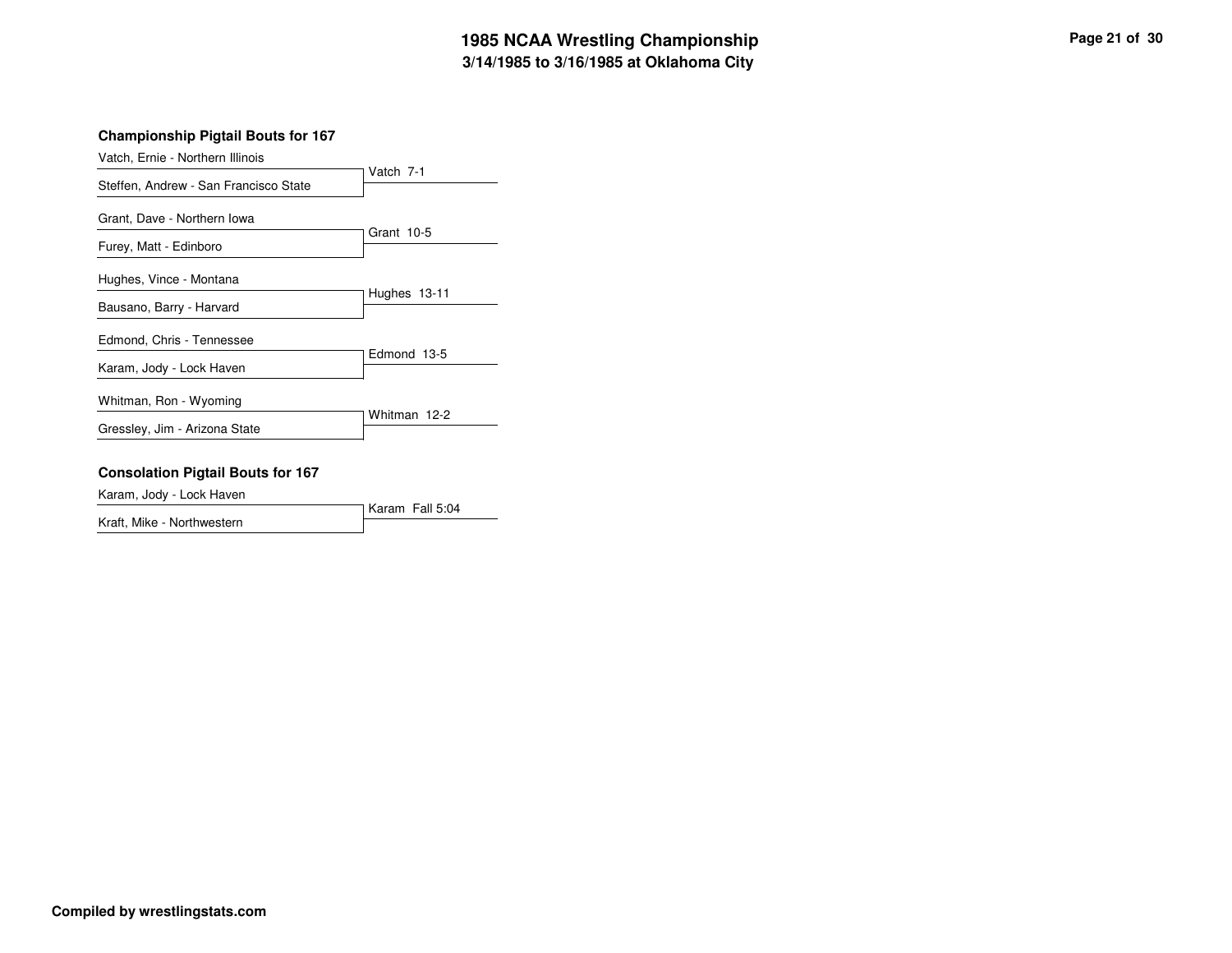# **3/14/1985 to 3/16/1985 at Oklahoma City 1985 NCAA Wrestling Championship Page <sup>21</sup> of <sup>30</sup>**

## **Championship Pigtail Bouts for 167**

| Vatch, Ernie - Northern Illinois      |              |
|---------------------------------------|--------------|
| Steffen, Andrew - San Francisco State | Vatch 7-1    |
| Grant, Dave - Northern Iowa           |              |
| Furey, Matt - Edinboro                | Grant 10-5   |
| Hughes, Vince - Montana               | Hughes 13-11 |
| Bausano, Barry - Harvard              |              |
| Edmond, Chris - Tennessee             | Edmond 13-5  |
| Karam, Jody - Lock Haven              |              |
| Whitman, Ron - Wyoming                |              |
| Gressley, Jim - Arizona State         | Whitman 12-2 |

#### **Consolation Pigtail Bouts for 167**

Karam, Jody - Lock Haven

Karam Fall 5:04 Kraft, Mike - Northwestern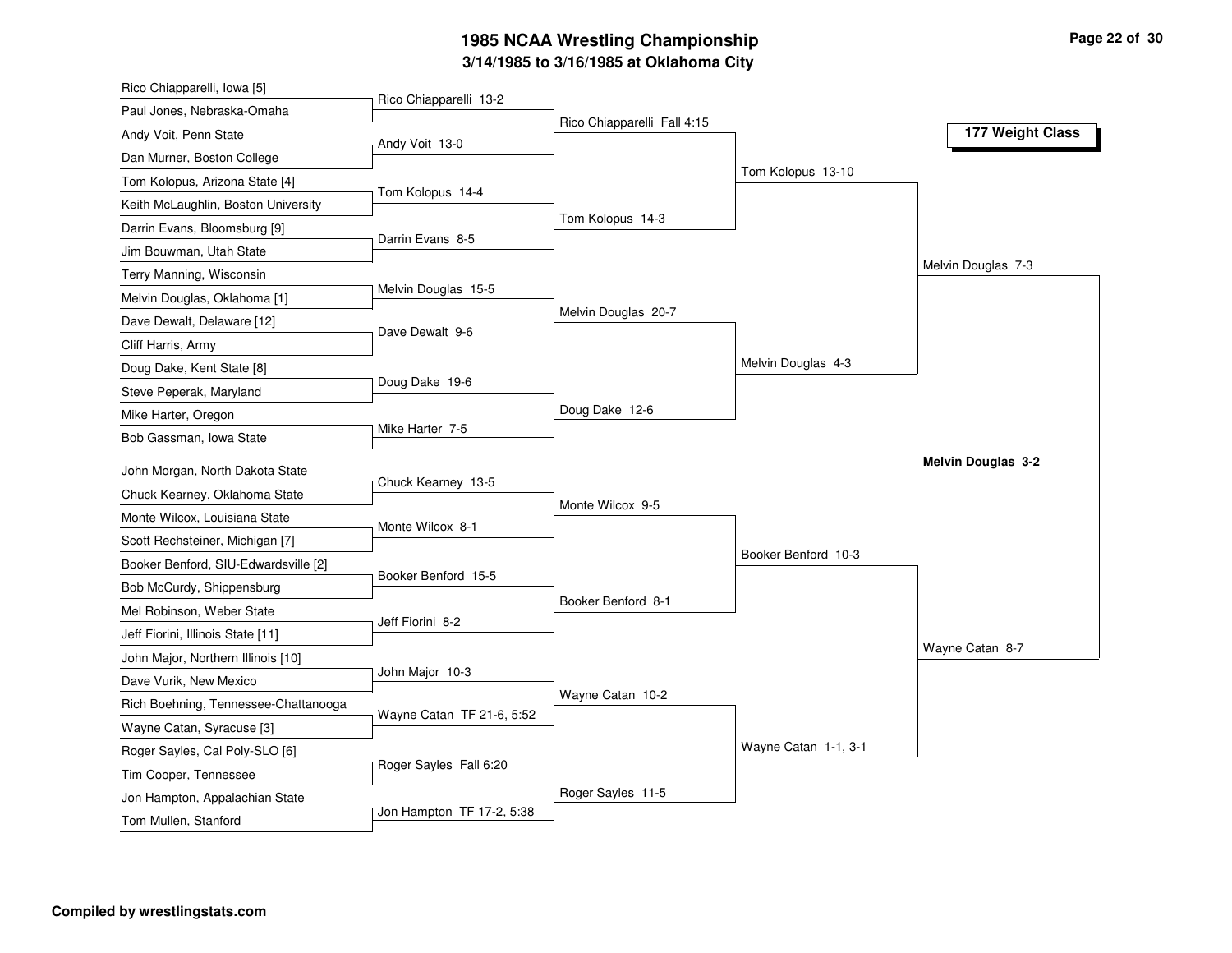# **3/14/1985 to 3/16/1985 at Oklahoma City 1985 NCAA Wrestling Championship Page <sup>22</sup> of <sup>30</sup>**

| Rico Chiapparelli, Iowa [5]                                      |                           |                             |                      |                           |
|------------------------------------------------------------------|---------------------------|-----------------------------|----------------------|---------------------------|
| Paul Jones, Nebraska-Omaha                                       | Rico Chiapparelli 13-2    |                             |                      |                           |
| Andy Voit, Penn State                                            | Andy Voit 13-0            | Rico Chiapparelli Fall 4:15 |                      | 177 Weight Class          |
| Dan Murner, Boston College                                       |                           |                             |                      |                           |
| Tom Kolopus, Arizona State [4]                                   |                           |                             | Tom Kolopus 13-10    |                           |
| Keith McLaughlin, Boston University                              | Tom Kolopus 14-4          |                             |                      |                           |
| Darrin Evans, Bloomsburg [9]                                     |                           | Tom Kolopus 14-3            |                      |                           |
| Jim Bouwman, Utah State                                          | Darrin Evans 8-5          |                             |                      |                           |
| Terry Manning, Wisconsin                                         |                           |                             |                      | Melvin Douglas 7-3        |
| Melvin Douglas, Oklahoma [1]                                     | Melvin Douglas 15-5       |                             |                      |                           |
| Dave Dewalt, Delaware [12]                                       |                           | Melvin Douglas 20-7         |                      |                           |
| Cliff Harris, Army                                               | Dave Dewalt 9-6           |                             |                      |                           |
| Doug Dake, Kent State [8]                                        |                           |                             | Melvin Douglas 4-3   |                           |
| Steve Peperak, Maryland                                          | Doug Dake 19-6            |                             |                      |                           |
| Mike Harter, Oregon                                              |                           | Doug Dake 12-6              |                      |                           |
| Bob Gassman, Iowa State                                          | Mike Harter 7-5           |                             |                      |                           |
|                                                                  |                           |                             |                      | <b>Melvin Douglas 3-2</b> |
| John Morgan, North Dakota State<br>Chuck Kearney, Oklahoma State | Chuck Kearney 13-5        |                             |                      |                           |
| Monte Wilcox, Louisiana State                                    |                           | Monte Wilcox 9-5            |                      |                           |
|                                                                  | Monte Wilcox 8-1          |                             |                      |                           |
| Scott Rechsteiner, Michigan [7]                                  |                           |                             | Booker Benford 10-3  |                           |
| Booker Benford, SIU-Edwardsville [2]                             | Booker Benford 15-5       |                             |                      |                           |
| Bob McCurdy, Shippensburg<br>Mel Robinson, Weber State           |                           | Booker Benford 8-1          |                      |                           |
|                                                                  |                           |                             |                      |                           |
|                                                                  | Jeff Fiorini 8-2          |                             |                      |                           |
| Jeff Fiorini, Illinois State [11]                                |                           |                             |                      | Wayne Catan 8-7           |
| John Major, Northern Illinois [10]                               | John Major 10-3           |                             |                      |                           |
| Dave Vurik, New Mexico                                           |                           | Wayne Catan 10-2            |                      |                           |
| Rich Boehning, Tennessee-Chattanooga                             | Wayne Catan TF 21-6, 5:52 |                             |                      |                           |
| Wayne Catan, Syracuse [3]                                        |                           |                             |                      |                           |
| Roger Sayles, Cal Poly-SLO [6]                                   | Roger Sayles Fall 6:20    |                             | Wayne Catan 1-1, 3-1 |                           |
| Tim Cooper, Tennessee                                            |                           |                             |                      |                           |
| Jon Hampton, Appalachian State<br>Tom Mullen, Stanford           | Jon Hampton TF 17-2, 5:38 | Roger Sayles 11-5           |                      |                           |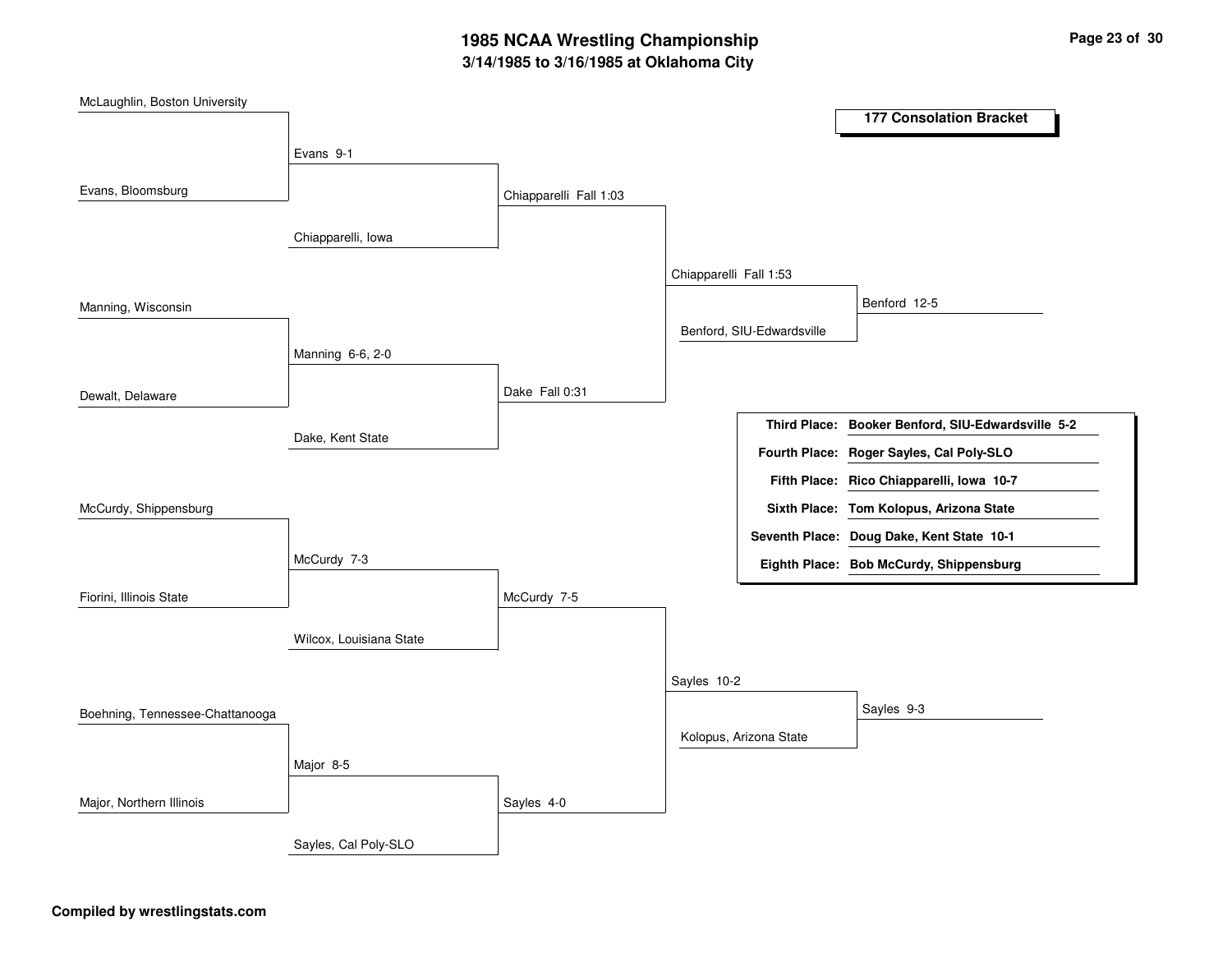# **3/14/1985 to 3/16/1985 at Oklahoma City 1985 NCAA Wrestling Championship Page <sup>23</sup> of <sup>30</sup>**

| McLaughlin, Boston University   |                         |                        |                        |                           |                                                   |
|---------------------------------|-------------------------|------------------------|------------------------|---------------------------|---------------------------------------------------|
|                                 |                         |                        |                        |                           | <b>177 Consolation Bracket</b>                    |
|                                 | Evans 9-1               |                        |                        |                           |                                                   |
|                                 |                         |                        |                        |                           |                                                   |
| Evans, Bloomsburg               |                         | Chiapparelli Fall 1:03 |                        |                           |                                                   |
|                                 | Chiapparelli, Iowa      |                        |                        |                           |                                                   |
|                                 |                         |                        |                        |                           |                                                   |
|                                 |                         |                        | Chiapparelli Fall 1:53 |                           |                                                   |
| Manning, Wisconsin              |                         |                        |                        |                           | Benford 12-5                                      |
|                                 |                         |                        |                        | Benford, SIU-Edwardsville |                                                   |
|                                 | Manning 6-6, 2-0        |                        |                        |                           |                                                   |
|                                 |                         | Dake Fall 0:31         |                        |                           |                                                   |
| Dewalt, Delaware                |                         |                        |                        |                           |                                                   |
|                                 | Dake, Kent State        |                        |                        |                           | Third Place: Booker Benford, SIU-Edwardsville 5-2 |
|                                 |                         |                        |                        |                           | Fourth Place: Roger Sayles, Cal Poly-SLO          |
|                                 |                         |                        |                        |                           | Fifth Place: Rico Chiapparelli, Iowa 10-7         |
| McCurdy, Shippensburg           |                         |                        |                        |                           | Sixth Place: Tom Kolopus, Arizona State           |
|                                 |                         |                        |                        |                           | Seventh Place: Doug Dake, Kent State 10-1         |
|                                 | McCurdy 7-3             |                        |                        |                           | Eighth Place: Bob McCurdy, Shippensburg           |
| Fiorini, Illinois State         |                         | McCurdy 7-5            |                        |                           |                                                   |
|                                 |                         |                        |                        |                           |                                                   |
|                                 | Wilcox, Louisiana State |                        |                        |                           |                                                   |
|                                 |                         |                        |                        |                           |                                                   |
|                                 |                         |                        | Sayles 10-2            |                           |                                                   |
| Boehning, Tennessee-Chattanooga |                         |                        |                        |                           | Sayles 9-3                                        |
|                                 |                         |                        |                        | Kolopus, Arizona State    |                                                   |
|                                 | Major 8-5               |                        |                        |                           |                                                   |
| Major, Northern Illinois        |                         | Sayles 4-0             |                        |                           |                                                   |
|                                 |                         |                        |                        |                           |                                                   |
|                                 | Sayles, Cal Poly-SLO    |                        |                        |                           |                                                   |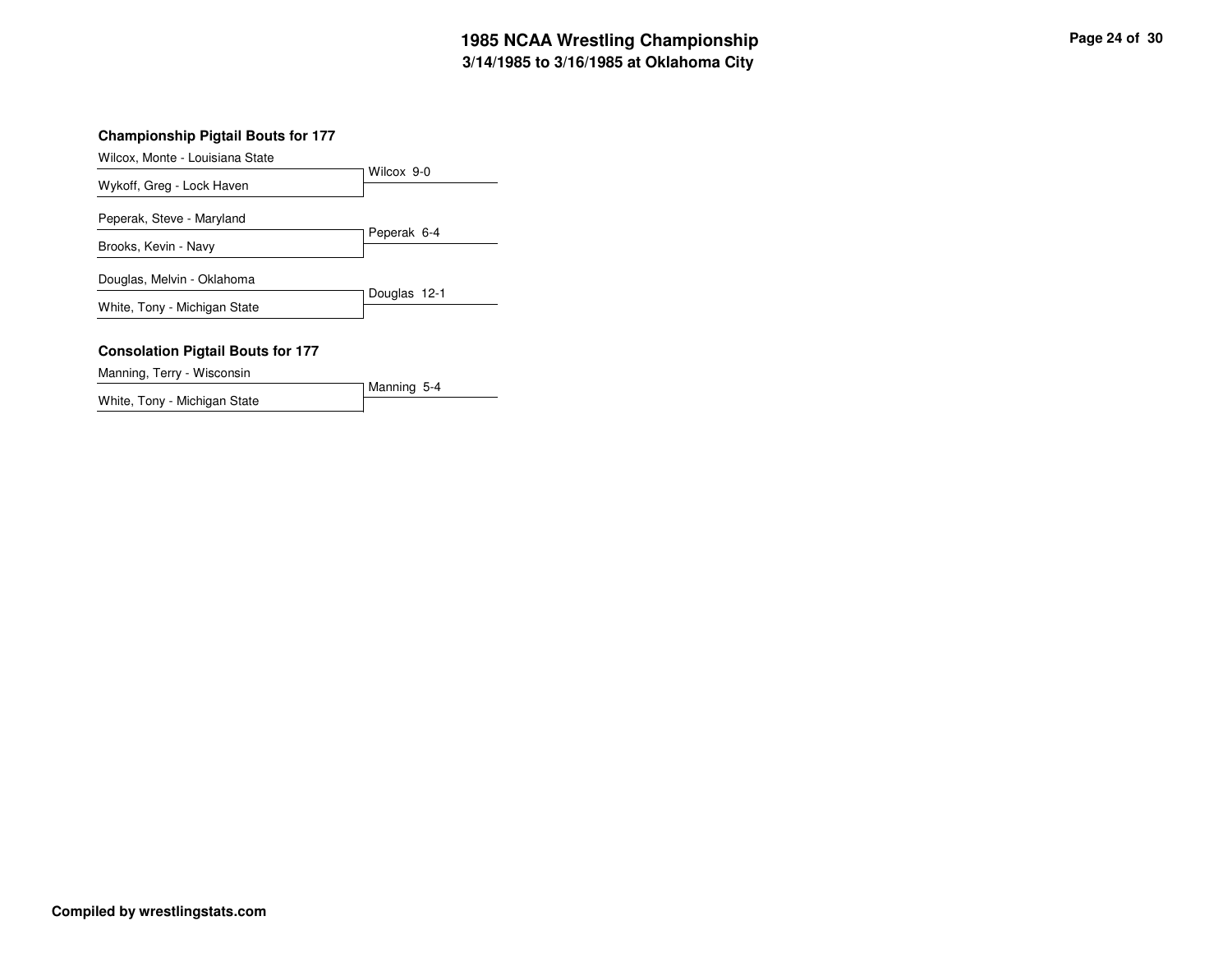# **3/14/1985 to 3/16/1985 at Oklahoma City 1985 NCAA Wrestling Championship Page <sup>24</sup> of <sup>30</sup>**

Wilcox, Monte - Louisiana State

|                              | Wilcox 9-0   |
|------------------------------|--------------|
| Wykoff, Greg - Lock Haven    |              |
| Peperak, Steve - Maryland    |              |
|                              | Peperak 6-4  |
| Brooks, Kevin - Navy         |              |
| Douglas, Melvin - Oklahoma   |              |
| White, Tony - Michigan State | Douglas 12-1 |
|                              |              |

Manning 5-4

#### **Consolation Pigtail Bouts for 177**

Manning, Terry - Wisconsin

White, Tony - Michigan State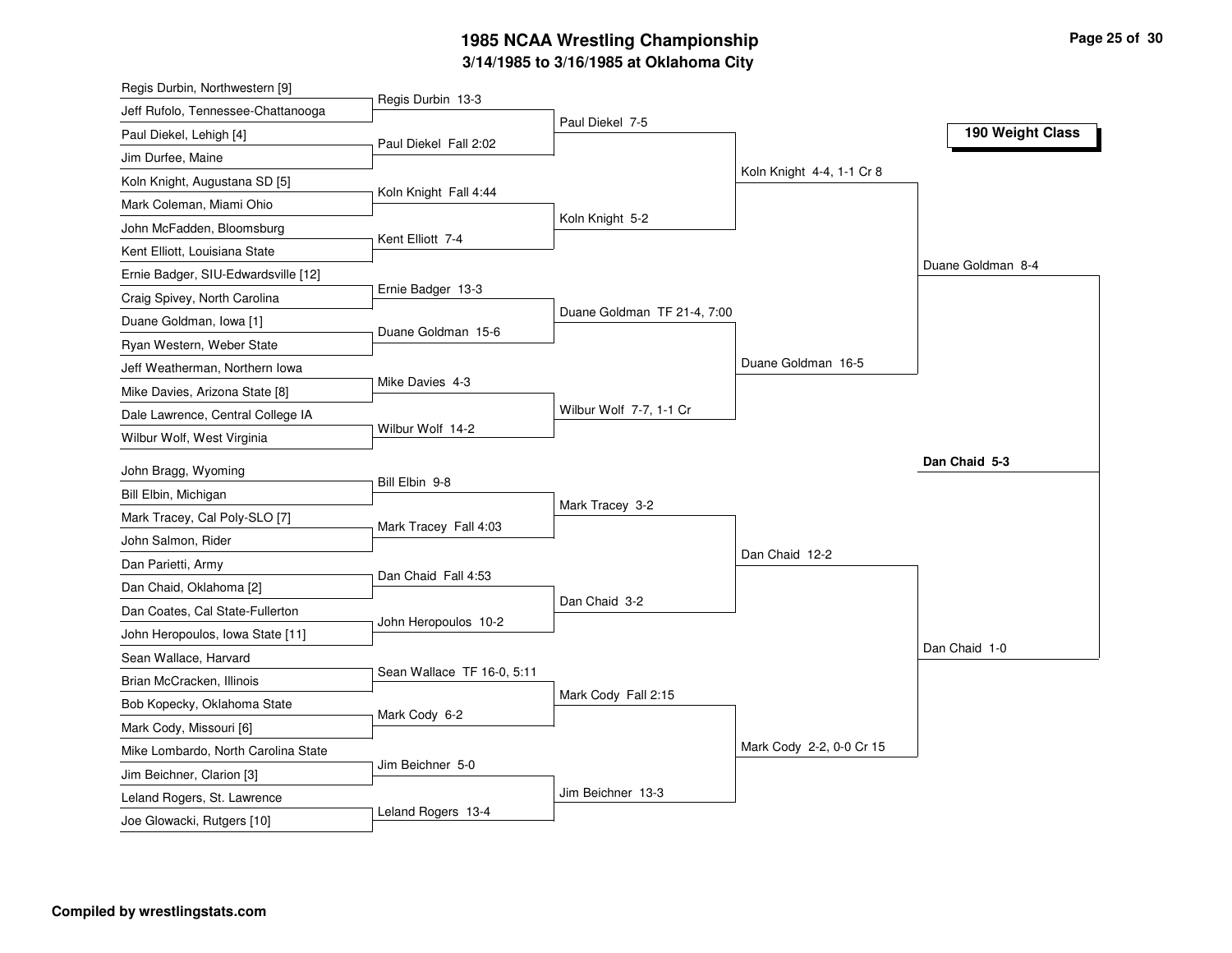# **3/14/1985 to 3/16/1985 at Oklahoma City 1985 NCAA Wrestling Championship Page <sup>25</sup> of <sup>30</sup>**

| Regis Durbin, Northwestern [9]      |                            |                             |                           |                   |
|-------------------------------------|----------------------------|-----------------------------|---------------------------|-------------------|
| Jeff Rufolo, Tennessee-Chattanooga  | Regis Durbin 13-3          | Paul Diekel 7-5             |                           |                   |
| Paul Diekel, Lehigh [4]             | Paul Diekel Fall 2:02      |                             |                           | 190 Weight Class  |
| Jim Durfee, Maine                   |                            |                             |                           |                   |
| Koln Knight, Augustana SD [5]       |                            |                             | Koln Knight 4-4, 1-1 Cr 8 |                   |
| Mark Coleman, Miami Ohio            | Koln Knight Fall 4:44      |                             |                           |                   |
| John McFadden, Bloomsburg           |                            | Koln Knight 5-2             |                           |                   |
| Kent Elliott, Louisiana State       | Kent Elliott 7-4           |                             |                           |                   |
| Ernie Badger, SIU-Edwardsville [12] |                            |                             |                           | Duane Goldman 8-4 |
| Craig Spivey, North Carolina        | Ernie Badger 13-3          |                             |                           |                   |
| Duane Goldman, Iowa [1]             | Duane Goldman 15-6         | Duane Goldman TF 21-4, 7:00 |                           |                   |
| Ryan Western, Weber State           |                            |                             |                           |                   |
| Jeff Weatherman, Northern Iowa      |                            |                             | Duane Goldman 16-5        |                   |
| Mike Davies, Arizona State [8]      | Mike Davies 4-3            |                             |                           |                   |
| Dale Lawrence, Central College IA   |                            | Wilbur Wolf 7-7, 1-1 Cr     |                           |                   |
| Wilbur Wolf, West Virginia          | Wilbur Wolf 14-2           |                             |                           |                   |
| John Bragg, Wyoming                 |                            |                             |                           | Dan Chaid 5-3     |
| Bill Elbin, Michigan                | Bill Elbin 9-8             |                             |                           |                   |
| Mark Tracey, Cal Poly-SLO [7]       |                            | Mark Tracey 3-2             |                           |                   |
| John Salmon, Rider                  | Mark Tracey Fall 4:03      |                             |                           |                   |
| Dan Parietti, Army                  |                            |                             | Dan Chaid 12-2            |                   |
| Dan Chaid, Oklahoma [2]             | Dan Chaid Fall 4:53        |                             |                           |                   |
| Dan Coates, Cal State-Fullerton     |                            | Dan Chaid 3-2               |                           |                   |
| John Heropoulos, Iowa State [11]    | John Heropoulos 10-2       |                             |                           |                   |
| Sean Wallace, Harvard               |                            |                             |                           | Dan Chaid 1-0     |
| Brian McCracken, Illinois           | Sean Wallace TF 16-0, 5:11 |                             |                           |                   |
| Bob Kopecky, Oklahoma State         |                            | Mark Cody Fall 2:15         |                           |                   |
| Mark Cody, Missouri [6]             | Mark Cody 6-2              |                             |                           |                   |
| Mike Lombardo, North Carolina State |                            |                             | Mark Cody 2-2, 0-0 Cr 15  |                   |
| Jim Beichner, Clarion [3]           | Jim Beichner 5-0           |                             |                           |                   |
| Leland Rogers, St. Lawrence         |                            | Jim Beichner 13-3           |                           |                   |
| Joe Glowacki, Rutgers [10]          | Leland Rogers 13-4         |                             |                           |                   |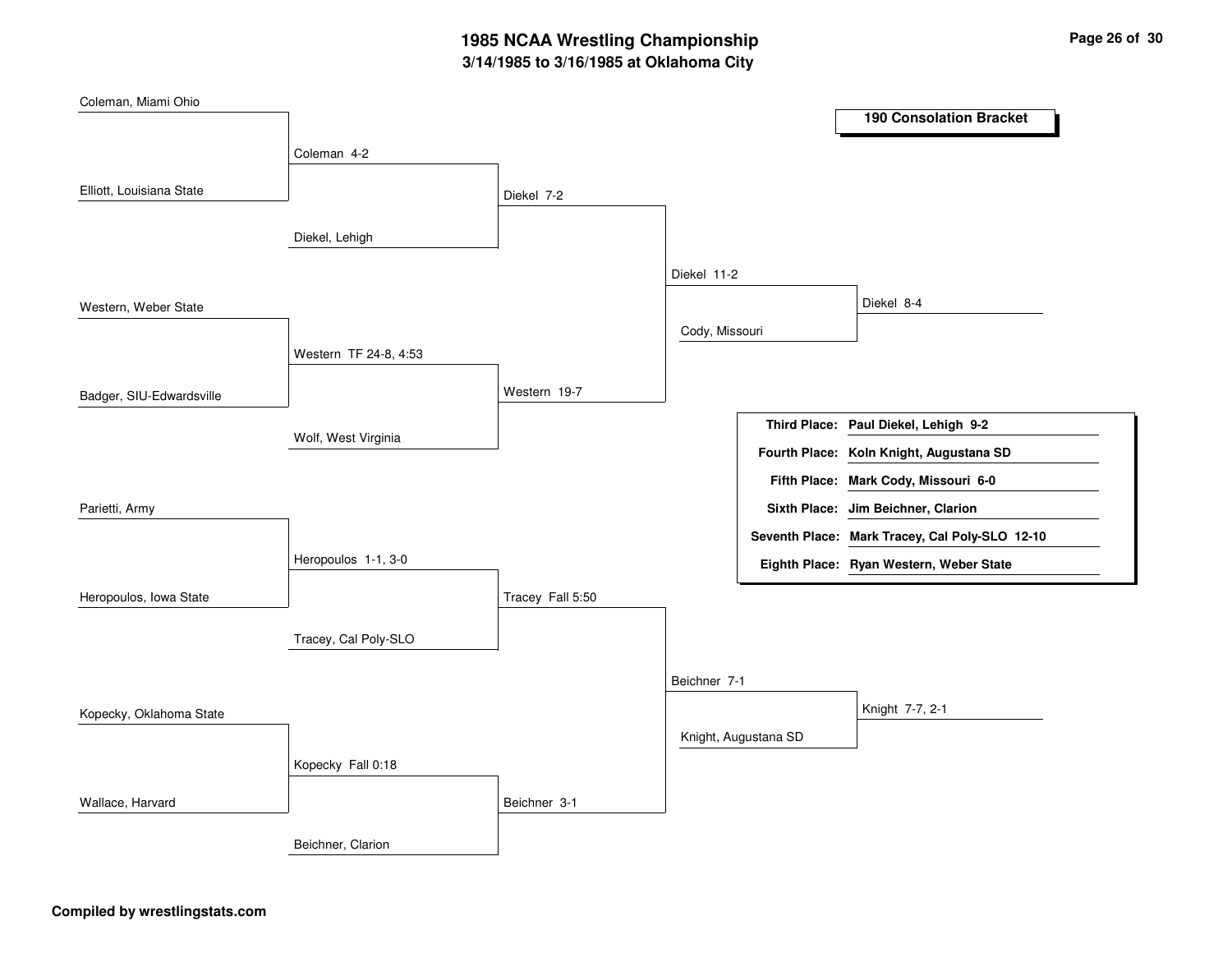# **3/14/1985 to 3/16/1985 at Oklahoma City 1985 NCAA Wrestling Championship Page <sup>26</sup> of <sup>30</sup>**

| Coleman, Miami Ohio      |                       |                                                |
|--------------------------|-----------------------|------------------------------------------------|
|                          |                       | <b>190 Consolation Bracket</b>                 |
| Coleman 4-2              |                       |                                                |
|                          |                       |                                                |
| Elliott, Louisiana State | Diekel 7-2            |                                                |
|                          |                       |                                                |
| Diekel, Lehigh           |                       |                                                |
|                          |                       | Diekel 11-2                                    |
| Western, Weber State     |                       | Diekel 8-4                                     |
|                          |                       | Cody, Missouri                                 |
|                          | Western TF 24-8, 4:53 |                                                |
|                          |                       |                                                |
| Badger, SIU-Edwardsville | Western 19-7          |                                                |
|                          |                       | Third Place: Paul Diekel, Lehigh 9-2           |
| Wolf, West Virginia      |                       | Fourth Place: Koln Knight, Augustana SD        |
|                          |                       | Fifth Place: Mark Cody, Missouri 6-0           |
| Parietti, Army           |                       | Sixth Place: Jim Beichner, Clarion             |
|                          |                       |                                                |
|                          |                       | Seventh Place: Mark Tracey, Cal Poly-SLO 12-10 |
| Heropoulos 1-1, 3-0      |                       | Eighth Place: Ryan Western, Weber State        |
| Heropoulos, Iowa State   | Tracey Fall 5:50      |                                                |
|                          |                       |                                                |
| Tracey, Cal Poly-SLO     |                       |                                                |
|                          |                       | Beichner 7-1                                   |
|                          |                       |                                                |
| Kopecky, Oklahoma State  |                       | Knight 7-7, 2-1                                |
|                          |                       | Knight, Augustana SD                           |
| Kopecky Fall 0:18        |                       |                                                |
| Wallace, Harvard         |                       |                                                |
|                          |                       |                                                |
|                          | Beichner 3-1          |                                                |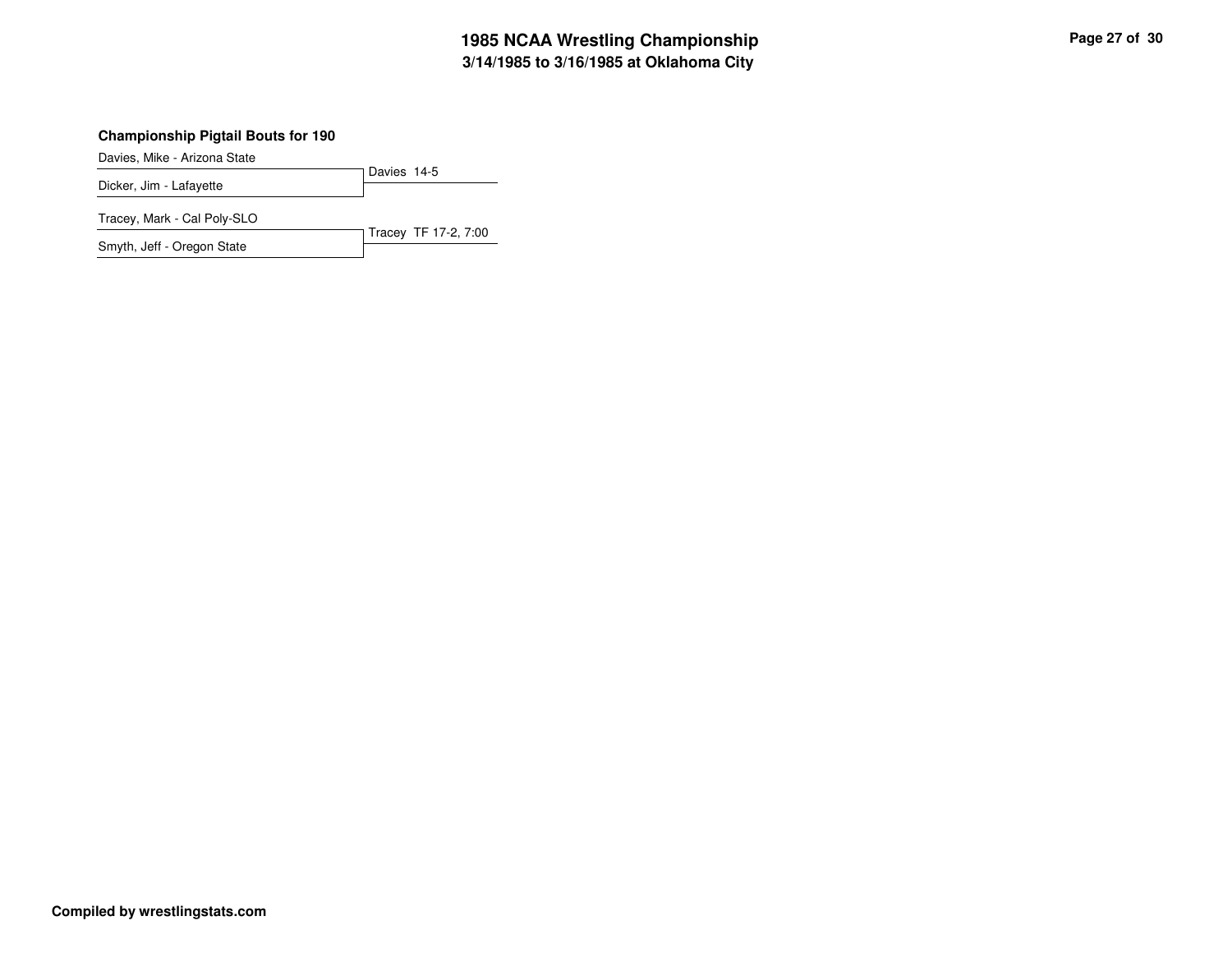# **3/14/1985 to 3/16/1985 at Oklahoma City 1985 NCAA Wrestling Championship Page <sup>27</sup> of <sup>30</sup>**

## **Championship Pigtail Bouts for 190**

Davies, Mike - Arizona State

Davies 14-5 Dicker, Jim - Lafayette

Tracey, Mark - Cal Poly-SLO

Tracey TF 17-2, 7:00 Smyth, Jeff - Oregon State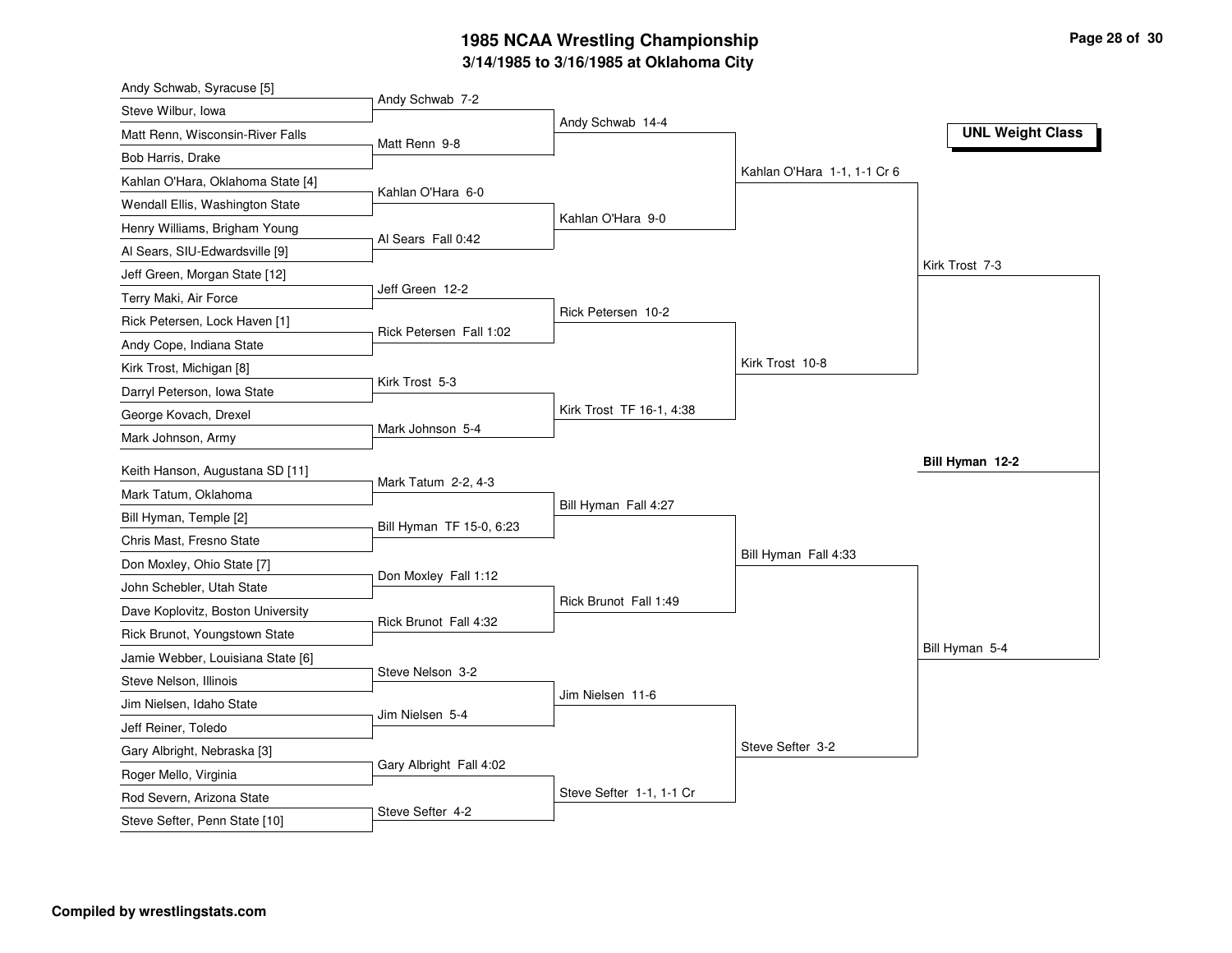# **3/14/1985 to 3/16/1985 at Oklahoma City 1985 NCAA Wrestling Championship Page <sup>28</sup> of <sup>30</sup>**

| Andy Schwab 7-2<br>Steve Wilbur, Iowa<br>Andy Schwab 14-4<br><b>UNL Weight Class</b><br>Matt Renn, Wisconsin-River Falls<br>Matt Renn 9-8<br>Bob Harris, Drake<br>Kahlan O'Hara 1-1, 1-1 Cr 6<br>Kahlan O'Hara, Oklahoma State [4]<br>Kahlan O'Hara 6-0<br>Wendall Ellis, Washington State<br>Kahlan O'Hara 9-0<br>Henry Williams, Brigham Young<br>Al Sears Fall 0:42<br>Al Sears, SIU-Edwardsville [9]<br>Kirk Trost 7-3<br>Jeff Green, Morgan State [12]<br>Jeff Green 12-2<br>Terry Maki, Air Force<br>Rick Petersen 10-2<br>Rick Petersen, Lock Haven [1]<br>Rick Petersen Fall 1:02<br>Andy Cope, Indiana State<br>Kirk Trost 10-8<br>Kirk Trost, Michigan [8]<br>Kirk Trost 5-3<br>Darryl Peterson, Iowa State<br>Kirk Trost TF 16-1, 4:38<br>George Kovach, Drexel<br>Mark Johnson 5-4<br>Mark Johnson, Army<br>Bill Hyman 12-2<br>Keith Hanson, Augustana SD [11]<br>Mark Tatum 2-2, 4-3<br>Mark Tatum, Oklahoma<br>Bill Hyman Fall 4:27<br>Bill Hyman, Temple [2]<br>Bill Hyman TF 15-0, 6:23<br>Chris Mast, Fresno State<br>Bill Hyman Fall 4:33<br>Don Moxley, Ohio State [7]<br>Don Moxley Fall 1:12 |
|-------------------------------------------------------------------------------------------------------------------------------------------------------------------------------------------------------------------------------------------------------------------------------------------------------------------------------------------------------------------------------------------------------------------------------------------------------------------------------------------------------------------------------------------------------------------------------------------------------------------------------------------------------------------------------------------------------------------------------------------------------------------------------------------------------------------------------------------------------------------------------------------------------------------------------------------------------------------------------------------------------------------------------------------------------------------------------------------------------------------|
|                                                                                                                                                                                                                                                                                                                                                                                                                                                                                                                                                                                                                                                                                                                                                                                                                                                                                                                                                                                                                                                                                                                   |
|                                                                                                                                                                                                                                                                                                                                                                                                                                                                                                                                                                                                                                                                                                                                                                                                                                                                                                                                                                                                                                                                                                                   |
|                                                                                                                                                                                                                                                                                                                                                                                                                                                                                                                                                                                                                                                                                                                                                                                                                                                                                                                                                                                                                                                                                                                   |
|                                                                                                                                                                                                                                                                                                                                                                                                                                                                                                                                                                                                                                                                                                                                                                                                                                                                                                                                                                                                                                                                                                                   |
|                                                                                                                                                                                                                                                                                                                                                                                                                                                                                                                                                                                                                                                                                                                                                                                                                                                                                                                                                                                                                                                                                                                   |
|                                                                                                                                                                                                                                                                                                                                                                                                                                                                                                                                                                                                                                                                                                                                                                                                                                                                                                                                                                                                                                                                                                                   |
|                                                                                                                                                                                                                                                                                                                                                                                                                                                                                                                                                                                                                                                                                                                                                                                                                                                                                                                                                                                                                                                                                                                   |
|                                                                                                                                                                                                                                                                                                                                                                                                                                                                                                                                                                                                                                                                                                                                                                                                                                                                                                                                                                                                                                                                                                                   |
|                                                                                                                                                                                                                                                                                                                                                                                                                                                                                                                                                                                                                                                                                                                                                                                                                                                                                                                                                                                                                                                                                                                   |
|                                                                                                                                                                                                                                                                                                                                                                                                                                                                                                                                                                                                                                                                                                                                                                                                                                                                                                                                                                                                                                                                                                                   |
|                                                                                                                                                                                                                                                                                                                                                                                                                                                                                                                                                                                                                                                                                                                                                                                                                                                                                                                                                                                                                                                                                                                   |
|                                                                                                                                                                                                                                                                                                                                                                                                                                                                                                                                                                                                                                                                                                                                                                                                                                                                                                                                                                                                                                                                                                                   |
|                                                                                                                                                                                                                                                                                                                                                                                                                                                                                                                                                                                                                                                                                                                                                                                                                                                                                                                                                                                                                                                                                                                   |
|                                                                                                                                                                                                                                                                                                                                                                                                                                                                                                                                                                                                                                                                                                                                                                                                                                                                                                                                                                                                                                                                                                                   |
|                                                                                                                                                                                                                                                                                                                                                                                                                                                                                                                                                                                                                                                                                                                                                                                                                                                                                                                                                                                                                                                                                                                   |
|                                                                                                                                                                                                                                                                                                                                                                                                                                                                                                                                                                                                                                                                                                                                                                                                                                                                                                                                                                                                                                                                                                                   |
|                                                                                                                                                                                                                                                                                                                                                                                                                                                                                                                                                                                                                                                                                                                                                                                                                                                                                                                                                                                                                                                                                                                   |
|                                                                                                                                                                                                                                                                                                                                                                                                                                                                                                                                                                                                                                                                                                                                                                                                                                                                                                                                                                                                                                                                                                                   |
|                                                                                                                                                                                                                                                                                                                                                                                                                                                                                                                                                                                                                                                                                                                                                                                                                                                                                                                                                                                                                                                                                                                   |
|                                                                                                                                                                                                                                                                                                                                                                                                                                                                                                                                                                                                                                                                                                                                                                                                                                                                                                                                                                                                                                                                                                                   |
| John Schebler, Utah State                                                                                                                                                                                                                                                                                                                                                                                                                                                                                                                                                                                                                                                                                                                                                                                                                                                                                                                                                                                                                                                                                         |
| Rick Brunot Fall 1:49<br>Dave Koplovitz, Boston University                                                                                                                                                                                                                                                                                                                                                                                                                                                                                                                                                                                                                                                                                                                                                                                                                                                                                                                                                                                                                                                        |
| Rick Brunot Fall 4:32<br>Rick Brunot, Youngstown State                                                                                                                                                                                                                                                                                                                                                                                                                                                                                                                                                                                                                                                                                                                                                                                                                                                                                                                                                                                                                                                            |
| Bill Hyman 5-4<br>Jamie Webber, Louisiana State [6]                                                                                                                                                                                                                                                                                                                                                                                                                                                                                                                                                                                                                                                                                                                                                                                                                                                                                                                                                                                                                                                               |
| Steve Nelson 3-2<br>Steve Nelson, Illinois                                                                                                                                                                                                                                                                                                                                                                                                                                                                                                                                                                                                                                                                                                                                                                                                                                                                                                                                                                                                                                                                        |
| Jim Nielsen 11-6<br>Jim Nielsen, Idaho State                                                                                                                                                                                                                                                                                                                                                                                                                                                                                                                                                                                                                                                                                                                                                                                                                                                                                                                                                                                                                                                                      |
| Jim Nielsen 5-4                                                                                                                                                                                                                                                                                                                                                                                                                                                                                                                                                                                                                                                                                                                                                                                                                                                                                                                                                                                                                                                                                                   |
| Jeff Reiner, Toledo<br>Steve Sefter 3-2                                                                                                                                                                                                                                                                                                                                                                                                                                                                                                                                                                                                                                                                                                                                                                                                                                                                                                                                                                                                                                                                           |
| Gary Albright, Nebraska [3]<br>Gary Albright Fall 4:02                                                                                                                                                                                                                                                                                                                                                                                                                                                                                                                                                                                                                                                                                                                                                                                                                                                                                                                                                                                                                                                            |
| Roger Mello, Virginia<br>Steve Sefter 1-1, 1-1 Cr                                                                                                                                                                                                                                                                                                                                                                                                                                                                                                                                                                                                                                                                                                                                                                                                                                                                                                                                                                                                                                                                 |
| Rod Severn, Arizona State<br>Steve Sefter 4-2<br>Steve Sefter, Penn State [10]                                                                                                                                                                                                                                                                                                                                                                                                                                                                                                                                                                                                                                                                                                                                                                                                                                                                                                                                                                                                                                    |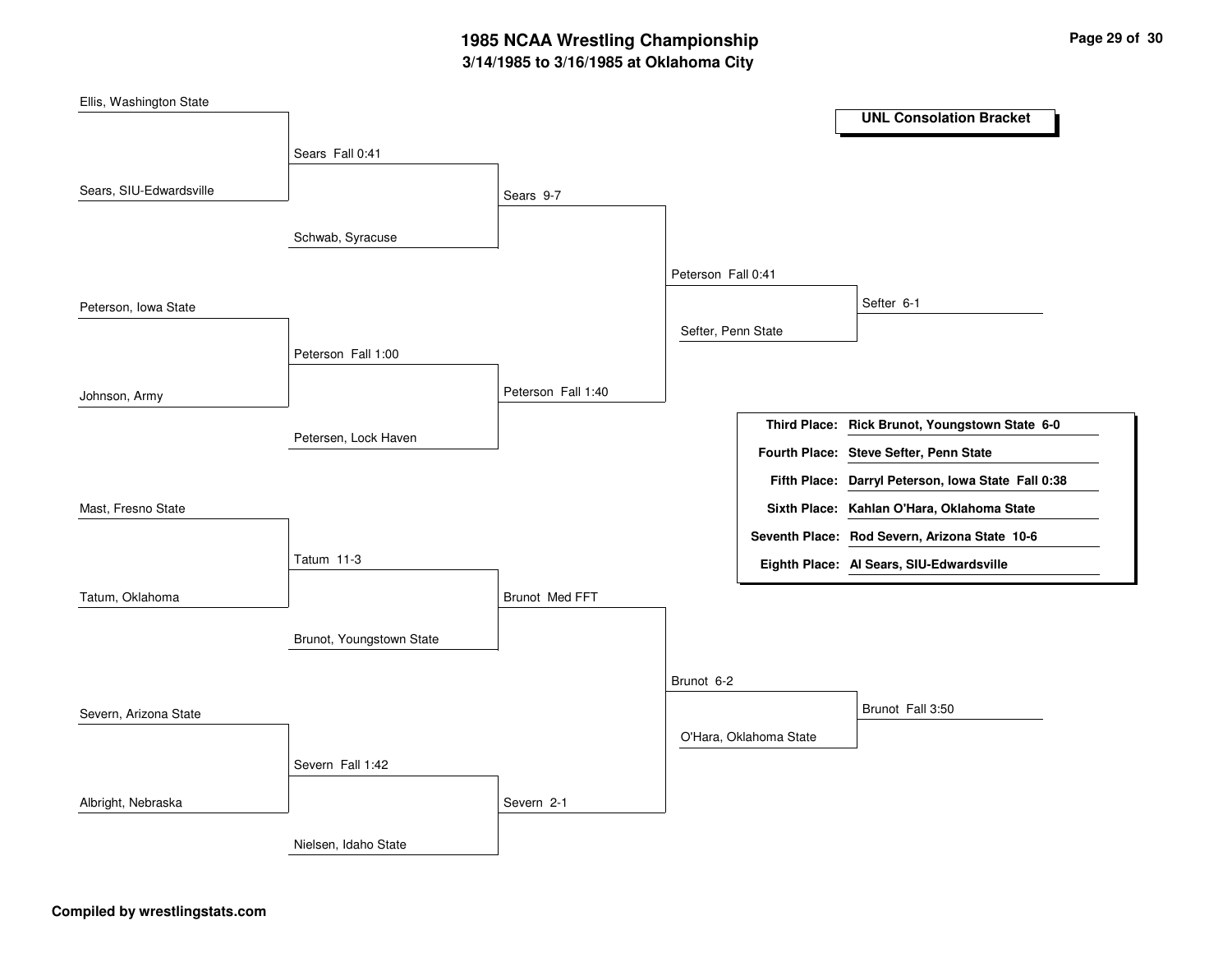# **3/14/1985 to 3/16/1985 at Oklahoma City 1985 NCAA Wrestling Championship Page <sup>29</sup> of <sup>30</sup>**

| Ellis, Washington State |                          |                    |                    |                        |                                                    |
|-------------------------|--------------------------|--------------------|--------------------|------------------------|----------------------------------------------------|
|                         |                          |                    |                    |                        | <b>UNL Consolation Bracket</b>                     |
|                         | Sears Fall 0:41          |                    |                    |                        |                                                    |
| Sears, SIU-Edwardsville |                          | Sears 9-7          |                    |                        |                                                    |
|                         | Schwab, Syracuse         |                    |                    |                        |                                                    |
|                         |                          |                    | Peterson Fall 0:41 |                        |                                                    |
| Peterson, Iowa State    |                          |                    |                    |                        | Sefter 6-1                                         |
|                         |                          |                    | Sefter, Penn State |                        |                                                    |
|                         | Peterson Fall 1:00       |                    |                    |                        |                                                    |
| Johnson, Army           |                          | Peterson Fall 1:40 |                    |                        |                                                    |
|                         | Petersen, Lock Haven     |                    |                    |                        | Third Place: Rick Brunot, Youngstown State 6-0     |
|                         |                          |                    |                    |                        | Fourth Place: Steve Sefter, Penn State             |
|                         |                          |                    |                    |                        | Fifth Place: Darryl Peterson, Iowa State Fall 0:38 |
| Mast, Fresno State      |                          |                    |                    |                        | Sixth Place: Kahlan O'Hara, Oklahoma State         |
|                         |                          |                    |                    |                        | Seventh Place: Rod Severn, Arizona State 10-6      |
|                         | Tatum 11-3               |                    |                    |                        | Eighth Place: Al Sears, SIU-Edwardsville           |
| Tatum, Oklahoma         |                          | Brunot Med FFT     |                    |                        |                                                    |
|                         | Brunot, Youngstown State |                    |                    |                        |                                                    |
|                         |                          |                    | Brunot 6-2         |                        |                                                    |
| Severn, Arizona State   |                          |                    |                    |                        | Brunot Fall 3:50                                   |
|                         |                          |                    |                    | O'Hara, Oklahoma State |                                                    |
|                         | Severn Fall 1:42         |                    |                    |                        |                                                    |
| Albright, Nebraska      |                          | Severn 2-1         |                    |                        |                                                    |
|                         | Nielsen, Idaho State     |                    |                    |                        |                                                    |